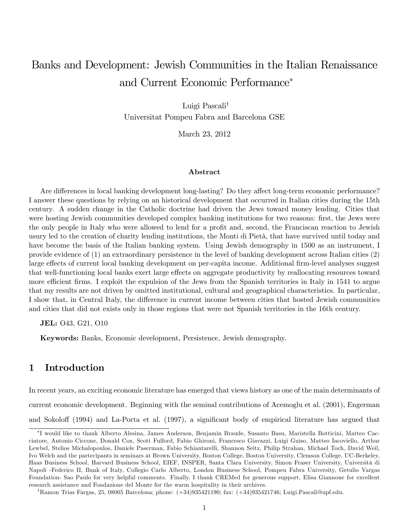# Banks and Development: Jewish Communities in the Italian Renaissance and Current Economic Performance

Luigi Pascali<sup>†</sup> Universitat Pompeu Fabra and Barcelona GSE

March 23, 2012

#### Abstract

Are differences in local banking development long-lasting? Do they affect long-term economic performance? I answer these questions by relying on an historical development that occurred in Italian cities during the 15th century. A sudden change in the Catholic doctrine had driven the Jews toward money lending. Cities that were hosting Jewish communities developed complex banking institutions for two reasons: first, the Jews were the only people in Italy who were allowed to lend for a profit and, second, the Franciscan reaction to Jewish usury led to the creation of charity lending institutions, the Monti di Pietà, that have survived until today and have become the basis of the Italian banking system. Using Jewish demography in 1500 as an instrument, I provide evidence of (1) an extraordinary persistence in the level of banking development across Italian cities (2) large effects of current local banking development on per-capita income. Additional firm-level analyses suggest that well-functioning local banks exert large effects on aggregate productivity by reallocating resources toward more efficient firms. I exploit the expulsion of the Jews from the Spanish territories in Italy in 1541 to argue that my results are not driven by omitted institutional, cultural and geographical characteristics. In particular, I show that, in Central Italy, the difference in current income between cities that hosted Jewish communities and cities that did not exists only in those regions that were not Spanish territories in the 16th century.

JEL: 043, G21, 010

Keywords: Banks, Economic development, Persistence, Jewish demography.

### 1 Introduction

In recent years, an exciting economic literature has emerged that views history as one of the main determinants of current economic development. Beginning with the seminal contributions of Acemoglu et al. (2001), Engerman and Sokoloff (1994) and La-Porta et al. (1997), a significant body of empirical literature has argued that

I would like to thank Alberto Alesina, James Anderson, Benjamin Braude, Susanto Basu, Maristella Botticini, Matteo Cacciatore, Antonio Ciccone, Donald Cox, Scott Fulford, Fabio Ghironi, Francesco Giavazzi, Luigi Guiso, Matteo Iacoviello, Arthur Lewbel, Stelios Michalopoulos, Daniele Paserman, Fabio Schiantarelli, Shannon Seitz, Philip Strahan, Michael Toch, David Weil, Ivo Welch and the partecipants in seminars at Brown University, Boston College, Boston University, Clemson College, UC-Berkeley, Haas Business School, Harvard Business School, EIEF, INSPER, Santa Clara University, Simon Fraser University, Università di Napoli -Federico II, Bank of Italy, Collegio Carlo Alberto, London Business School, Pompeu Fabra University, Getulio Vargas Foundation- Sao Paulo for very helpful comments. Finally, I thank CREMed for generous support, Elisa Giannone for excellent research assistance and Fondazione del Monte for the warm hospitality in their archives.

<sup>&</sup>lt;sup>†</sup>Ramon Trias Fargas, 25, 08005 Barcelona; phone:  $(+34)935421190$ ; fax:  $(+34)935421746$ ; Luigi.Pascali@upf.edu.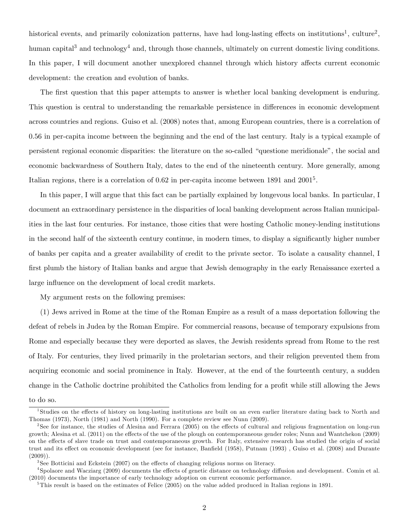historical events, and primarily colonization patterns, have had long-lasting effects on institutions<sup>1</sup>, culture<sup>2</sup>, human capital<sup>3</sup> and technology<sup>4</sup> and, through those channels, ultimately on current domestic living conditions. In this paper, I will document another unexplored channel through which history affects current economic development: the creation and evolution of banks.

The first question that this paper attempts to answer is whether local banking development is enduring. This question is central to understanding the remarkable persistence in differences in economic development across countries and regions. Guiso et al. (2008) notes that, among European countries, there is a correlation of 0.56 in per-capita income between the beginning and the end of the last century. Italy is a typical example of persistent regional economic disparities: the literature on the so-called "questione meridionale", the social and economic backwardness of Southern Italy, dates to the end of the nineteenth century. More generally, among Italian regions, there is a correlation of 0.62 in per-capita income between 1891 and 2001<sup>5</sup>.

In this paper, I will argue that this fact can be partially explained by longevous local banks. In particular, I document an extraordinary persistence in the disparities of local banking development across Italian municipalities in the last four centuries. For instance, those cities that were hosting Catholic money-lending institutions in the second half of the sixteenth century continue, in modern times, to display a significantly higher number of banks per capita and a greater availability of credit to the private sector. To isolate a causality channel, I first plumb the history of Italian banks and argue that Jewish demography in the early Renaissance exerted a large influence on the development of local credit markets.

My argument rests on the following premises:

(1) Jews arrived in Rome at the time of the Roman Empire as a result of a mass deportation following the defeat of rebels in Judea by the Roman Empire. For commercial reasons, because of temporary expulsions from Rome and especially because they were deported as slaves, the Jewish residents spread from Rome to the rest of Italy. For centuries, they lived primarily in the proletarian sectors, and their religion prevented them from acquiring economic and social prominence in Italy. However, at the end of the fourteenth century, a sudden change in the Catholic doctrine prohibited the Catholics from lending for a profit while still allowing the Jews

to do so.

<sup>&</sup>lt;sup>1</sup>Studies on the effects of history on long-lasting institutions are built on an even earlier literature dating back to North and Thomas (1973), North (1981) and North (1990). For a complete review see Nunn (2009).

<sup>&</sup>lt;sup>2</sup>See for instance, the studies of Alesina and Ferrara (2005) on the effects of cultural and religious fragmentation on long-run growth; Alesina et al. (2011) on the effects of the use of the plough on contemporaneous gender roles; Nunn and Wantchekon (2009) on the effects of slave trade on trust and contemporaneous growth. For Italy, extensive research has studied the origin of social trust and its effect on economic development (see for instance, Banfield (1958), Putnam (1993), Guiso et al. (2008) and Durante  $(2009)$ ).

 $3$ See Botticini and Eckstein (2007) on the effects of changing religious norms on literacy.

<sup>&</sup>lt;sup>4</sup>Spolaore and Wacziarg (2009) documents the effects of genetic distance on technology diffusion and development. Comin et al. (2010) documents the importance of early technology adoption on current economic performance.

<sup>5</sup>This result is based on the estimates of Felice (2005) on the value added produced in Italian regions in 1891.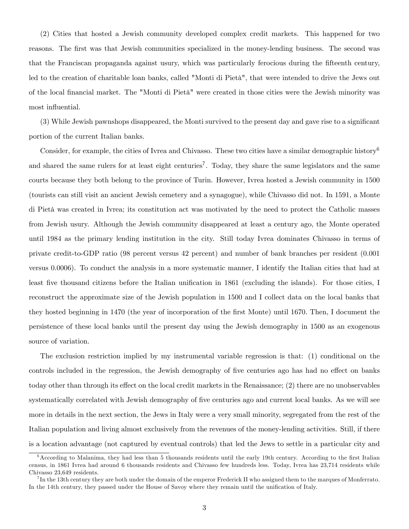(2) Cities that hosted a Jewish community developed complex credit markets. This happened for two reasons. The first was that Jewish communities specialized in the money-lending business. The second was that the Franciscan propaganda against usury, which was particularly ferocious during the fifteenth century, led to the creation of charitable loan banks, called "Monti di Pietà", that were intended to drive the Jews out of the local financial market. The "Monti di Pietà" were created in those cities were the Jewish minority was most influential.

(3) While Jewish pawnshops disappeared, the Monti survived to the present day and gave rise to a significant portion of the current Italian banks.

Consider, for example, the cities of Ivrea and Chivasso. These two cities have a similar demographic history<sup>6</sup> and shared the same rulers for at least eight centuries<sup>7</sup>. Today, they share the same legislators and the same courts because they both belong to the province of Turin. However, Ivrea hosted a Jewish community in 1500 (tourists can still visit an ancient Jewish cemetery and a synagogue), while Chivasso did not. In 1591, a Monte di Pietà was created in Ivrea; its constitution act was motivated by the need to protect the Catholic masses from Jewish usury. Although the Jewish community disappeared at least a century ago, the Monte operated until 1984 as the primary lending institution in the city. Still today Ivrea dominates Chivasso in terms of private credit-to-GDP ratio (98 percent versus 42 percent) and number of bank branches per resident (0.001 versus 0.0006). To conduct the analysis in a more systematic manner, I identify the Italian cities that had at least five thousand citizens before the Italian unification in 1861 (excluding the islands). For those cities, I reconstruct the approximate size of the Jewish population in 1500 and I collect data on the local banks that they hosted beginning in 1470 (the year of incorporation of the Örst Monte) until 1670. Then, I document the persistence of these local banks until the present day using the Jewish demography in 1500 as an exogenous source of variation.

The exclusion restriction implied by my instrumental variable regression is that: (1) conditional on the controls included in the regression, the Jewish demography of five centuries ago has had no effect on banks today other than through its effect on the local credit markets in the Renaissance; (2) there are no unobservables systematically correlated with Jewish demography of five centuries ago and current local banks. As we will see more in details in the next section, the Jews in Italy were a very small minority, segregated from the rest of the Italian population and living almost exclusively from the revenues of the money-lending activities. Still, if there is a location advantage (not captured by eventual controls) that led the Jews to settle in a particular city and

 $6$ According to Malanima, they had less than 5 thousands residents until the early 19th century. According to the first Italian census, in 1861 Ivrea had around 6 thousands residents and Chivasso few hundreds less. Today, Ivrea has 23,714 residents while Chivasso 23,649 residents.

<sup>&</sup>lt;sup>7</sup>In the 13th century they are both under the domain of the emperor Frederick II who assigned them to the marques of Monferrato. In the 14th century, they passed under the House of Savoy where they remain until the unification of Italy.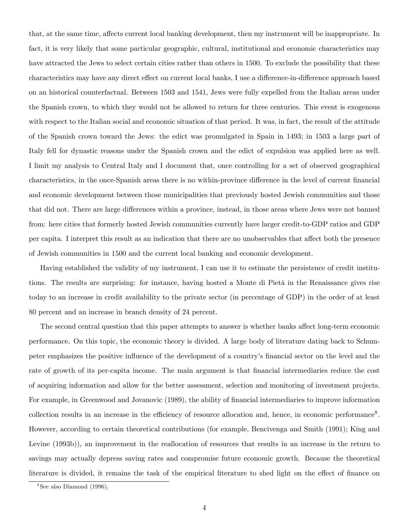that, at the same time, affects current local banking development, then my instrument will be inappropriate. In fact, it is very likely that some particular geographic, cultural, institutional and economic characteristics may have attracted the Jews to select certain cities rather than others in 1500. To exclude the possibility that these characteristics may have any direct effect on current local banks, I use a difference-in-difference approach based on an historical counterfactual. Between 1503 and 1541, Jews were fully expelled from the Italian areas under the Spanish crown, to which they would not be allowed to return for three centuries. This event is exogenous with respect to the Italian social and economic situation of that period. It was, in fact, the result of the attitude of the Spanish crown toward the Jews: the edict was promulgated in Spain in 1493; in 1503 a large part of Italy fell for dynastic reasons under the Spanish crown and the edict of expulsion was applied here as well. I limit my analysis to Central Italy and I document that, once controlling for a set of observed geographical characteristics, in the once-Spanish areas there is no within-province difference in the level of current financial and economic development between those municipalities that previously hosted Jewish communities and those that did not. There are large differences within a province, instead, in those areas where Jews were not banned from: here cities that formerly hosted Jewish communities currently have larger credit-to-GDP ratios and GDP per capita. I interpret this result as an indication that there are no unobservables that a§ect both the presence of Jewish communities in 1500 and the current local banking and economic development.

Having established the validity of my instrument, I can use it to estimate the persistence of credit institutions. The results are surprising: for instance, having hosted a Monte di Pietà in the Renaissance gives rise today to an increase in credit availability to the private sector (in percentage of GDP) in the order of at least 80 percent and an increase in branch density of 24 percent.

The second central question that this paper attempts to answer is whether banks affect long-term economic performance. On this topic, the economic theory is divided. A large body of literature dating back to Schumpeter emphasizes the positive influence of the development of a country's financial sector on the level and the rate of growth of its per-capita income. The main argument is that financial intermediaries reduce the cost of acquiring information and allow for the better assessment, selection and monitoring of investment projects. For example, in Greenwood and Jovanovic (1989), the ability of financial intermediaries to improve information collection results in an increase in the efficiency of resource allocation and, hence, in economic performance<sup>8</sup>. However, according to certain theoretical contributions (for example, Bencivenga and Smith (1991); King and Levine (1993b)), an improvement in the reallocation of resources that results in an increase in the return to savings may actually depress saving rates and compromise future economic growth. Because the theoretical literature is divided, it remains the task of the empirical literature to shed light on the effect of finance on

<sup>8</sup> See also Diamond (1996).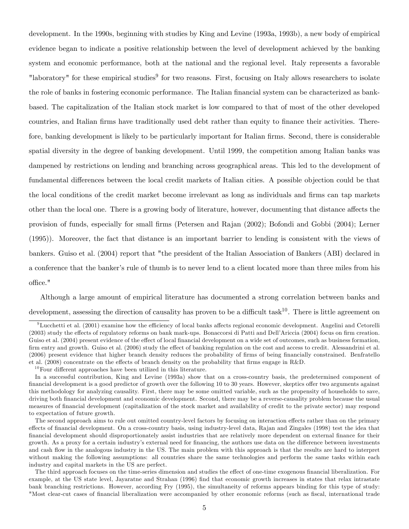development. In the 1990s, beginning with studies by King and Levine (1993a, 1993b), a new body of empirical evidence began to indicate a positive relationship between the level of development achieved by the banking system and economic performance, both at the national and the regional level. Italy represents a favorable "laboratory" for these empirical studies<sup>9</sup> for two reasons. First, focusing on Italy allows researchers to isolate the role of banks in fostering economic performance. The Italian financial system can be characterized as bankbased. The capitalization of the Italian stock market is low compared to that of most of the other developed countries, and Italian firms have traditionally used debt rather than equity to finance their activities. Therefore, banking development is likely to be particularly important for Italian firms. Second, there is considerable spatial diversity in the degree of banking development. Until 1999, the competition among Italian banks was dampened by restrictions on lending and branching across geographical areas. This led to the development of fundamental differences between the local credit markets of Italian cities. A possible objection could be that the local conditions of the credit market become irrelevant as long as individuals and firms can tap markets other than the local one. There is a growing body of literature, however, documenting that distance affects the provision of funds, especially for small Örms (Petersen and Rajan (2002); Bofondi and Gobbi (2004); Lerner (1995)). Moreover, the fact that distance is an important barrier to lending is consistent with the views of bankers. Guiso et al. (2004) report that "the president of the Italian Association of Bankers (ABI) declared in a conference that the banker's rule of thumb is to never lend to a client located more than three miles from his office."

Although a large amount of empirical literature has documented a strong correlation between banks and development, assessing the direction of causality has proven to be a difficult task<sup>10</sup>. There is little agreement on

 $9$ Lucchetti et al. (2001) examine how the efficiency of local banks affects regional economic development. Angelini and Cetorelli (2003) study the effects of regulatory reforms on bank mark-ups. Bonaccorsi di Patti and Dell'Ariccia (2004) focus on firm creation. Guiso et al. (2004) present evidence of the effect of local financial development on a wide set of outcomes, such as business formation, firm entry and growth. Guiso et al. (2006) study the effect of banking regulation on the cost and access to credit. Alessandrini et al. (2006) present evidence that higher branch density reduces the probability of firms of being financially constrained. Benfratello et al. (2008) concentrate on the effects of branch density on the probability that firms engage in R&D.

 $10$  Four different approaches have been utilized in this literature.

In a successful contribution, King and Levine (1993a) show that on a cross-country basis, the predetermined component of financial development is a good predictor of growth over the following 10 to 30 years. However, skeptics offer two arguments against this methodology for analyzing causality. First, there may be some omitted variable, such as the propensity of households to save, driving both financial development and economic development. Second, there may be a reverse-causality problem because the usual measures of Önancial development (capitalization of the stock market and availability of credit to the private sector) may respond to expectation of future growth.

The second approach aims to rule out omitted country-level factors by focusing on interaction effects rather than on the primary effects of financial development. On a cross-country basis, using industry-level data, Rajan and Zingales (1998) test the idea that Önancial development should disproportionately assist industries that are relatively more dependent on external Önance for their growth. As a proxy for a certain industry's external need for financing, the authors use data on the difference between investments and cash flow in the analogous industry in the US. The main problem with this approach is that the results are hard to interpret without making the following assumptions: all countries share the same technologies and perform the same tasks within each industry and capital markets in the US are perfect.

The third approach focuses on the time-series dimension and studies the effect of one-time exogenous financial liberalization. For example, at the US state level, Jayaratne and Strahan (1996) find that economic growth increases in states that relax intrastate bank branching restrictions. However, according Fry (1995), the simultaneity of reforms appears binding for this type of study: "Most clear-cut cases of financial liberalization were accompanied by other economic reforms (such as fiscal, international trade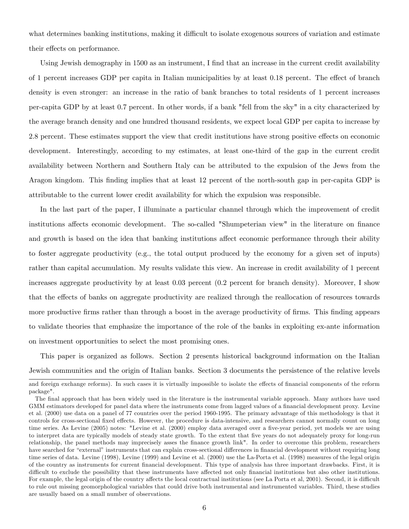what determines banking institutions, making it difficult to isolate exogenous sources of variation and estimate their effects on performance.

Using Jewish demography in 1500 as an instrument, I find that an increase in the current credit availability of 1 percent increases GDP per capita in Italian municipalities by at least 0.18 percent. The effect of branch density is even stronger: an increase in the ratio of bank branches to total residents of 1 percent increases per-capita GDP by at least 0.7 percent. In other words, if a bank "fell from the sky" in a city characterized by the average branch density and one hundred thousand residents, we expect local GDP per capita to increase by 2.8 percent. These estimates support the view that credit institutions have strong positive effects on economic development. Interestingly, according to my estimates, at least one-third of the gap in the current credit availability between Northern and Southern Italy can be attributed to the expulsion of the Jews from the Aragon kingdom. This finding implies that at least 12 percent of the north-south gap in per-capita GDP is attributable to the current lower credit availability for which the expulsion was responsible.

In the last part of the paper, I illuminate a particular channel through which the improvement of credit institutions affects economic development. The so-called "Shumpeterian view" in the literature on finance and growth is based on the idea that banking institutions affect economic performance through their ability to foster aggregate productivity (e.g., the total output produced by the economy for a given set of inputs) rather than capital accumulation. My results validate this view. An increase in credit availability of 1 percent increases aggregate productivity by at least 0.03 percent (0.2 percent for branch density). Moreover, I show that the effects of banks on aggregate productivity are realized through the reallocation of resources towards more productive firms rather than through a boost in the average productivity of firms. This finding appears to validate theories that emphasize the importance of the role of the banks in exploiting ex-ante information on investment opportunities to select the most promising ones.

This paper is organized as follows. Section 2 presents historical background information on the Italian Jewish communities and the origin of Italian banks. Section 3 documents the persistence of the relative levels

and foreign exchange reforms). In such cases it is virtually impossible to isolate the effects of financial components of the reform package".

The final approach that has been widely used in the literature is the instrumental variable approach. Many authors have used GMM estimators developed for panel data where the instruments come from lagged values of a financial development proxy. Levine et al. (2000) use data on a panel of 77 countries over the period 1960-1995. The primary advantage of this methodology is that it controls for cross-sectional fixed effects. However, the procedure is data-intensive, and researchers cannot normally count on long time series. As Levine (2005) notes: "Levine et al. (2000) employ data averaged over a five-year period, yet models we are using to interpret data are typically models of steady state growth. To the extent that Öve years do not adequately proxy for long-run relationship, the panel methods may imprecisely asses the finance growth link". In order to overcome this problem, researchers have searched for "external" instruments that can explain cross-sectional differences in financial development without requiring long time series of data. Levine (1998), Levine (1999) and Levine et al. (2000) use the La-Porta et al. (1998) measures of the legal origin of the country as instruments for current Önancial development. This type of analysis has three important drawbacks. First, it is difficult to exclude the possibility that these instruments have affected not only financial institutions but also other institutions. For example, the legal origin of the country affects the local contractual institutions (see La Porta et al, 2001). Second, it is difficult to rule out missing geomorphological variables that could drive both instrumental and instrumented variables. Third, these studies are usually based on a small number of observations.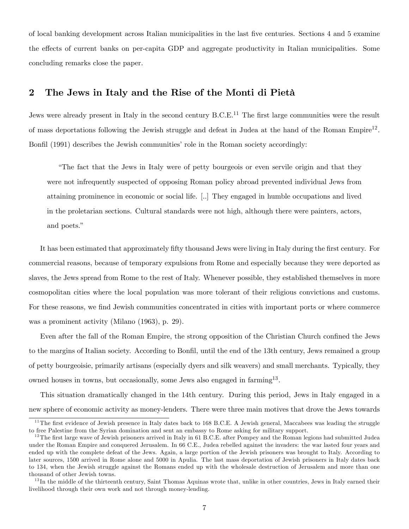of local banking development across Italian municipalities in the last Öve centuries. Sections 4 and 5 examine the effects of current banks on per-capita GDP and aggregate productivity in Italian municipalities. Some concluding remarks close the paper.

### 2 The Jews in Italy and the Rise of the Monti di Pietà

Jews were already present in Italy in the second century  $B.C.E.<sup>11</sup>$  The first large communities were the result of mass deportations following the Jewish struggle and defeat in Judea at the hand of the Roman Empire<sup>12</sup>. Bonfil (1991) describes the Jewish communities' role in the Roman society accordingly:

ìThe fact that the Jews in Italy were of petty bourgeois or even servile origin and that they were not infrequently suspected of opposing Roman policy abroad prevented individual Jews from attaining prominence in economic or social life. [..] They engaged in humble occupations and lived in the proletarian sections. Cultural standards were not high, although there were painters, actors, and poets."

It has been estimated that approximately fifty thousand Jews were living in Italy during the first century. For commercial reasons, because of temporary expulsions from Rome and especially because they were deported as slaves, the Jews spread from Rome to the rest of Italy. Whenever possible, they established themselves in more cosmopolitan cities where the local population was more tolerant of their religious convictions and customs. For these reasons, we find Jewish communities concentrated in cities with important ports or where commerce was a prominent activity (Milano (1963), p. 29).

Even after the fall of the Roman Empire, the strong opposition of the Christian Church confined the Jews to the margins of Italian society. According to Bonfil, until the end of the 13th century, Jews remained a group of petty bourgeoisie, primarily artisans (especially dyers and silk weavers) and small merchants. Typically, they owned houses in towns, but occasionally, some Jews also engaged in farming<sup>13</sup>.

This situation dramatically changed in the 14th century. During this period, Jews in Italy engaged in a new sphere of economic activity as money-lenders. There were three main motives that drove the Jews towards

 $11$ The first evidence of Jewish presence in Italy dates back to 168 B.C.E. A Jewish general, Maccabees was leading the struggle to free Palestine from the Syrian domination and sent an embassy to Rome asking for military support.

 $12$ The first large wave of Jewish prisoners arrived in Italy in 61 B.C.E. after Pompey and the Roman legions had submitted Judea under the Roman Empire and conquered Jerusalem. In 66 C.E., Judea rebelled against the invaders: the war lasted four years and ended up with the complete defeat of the Jews. Again, a large portion of the Jewish prisoners was brought to Italy. According to later sources, 1500 arrived in Rome alone and 5000 in Apulia. The last mass deportation of Jewish prisoners in Italy dates back to 134, when the Jewish struggle against the Romans ended up with the wholesale destruction of Jerusalem and more than one thousand of other Jewish towns.

 $13$ In the middle of the thirteenth century, Saint Thomas Aquinas wrote that, unlike in other countries, Jews in Italy earned their livelihood through their own work and not through money-lending.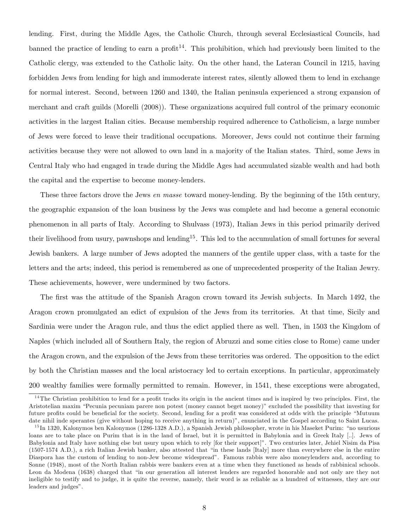lending. First, during the Middle Ages, the Catholic Church, through several Ecclesiastical Councils, had banned the practice of lending to earn a profit<sup>14</sup>. This prohibition, which had previously been limited to the Catholic clergy, was extended to the Catholic laity. On the other hand, the Lateran Council in 1215, having forbidden Jews from lending for high and immoderate interest rates, silently allowed them to lend in exchange for normal interest. Second, between 1260 and 1340, the Italian peninsula experienced a strong expansion of merchant and craft guilds (Morelli (2008)). These organizations acquired full control of the primary economic activities in the largest Italian cities. Because membership required adherence to Catholicism, a large number of Jews were forced to leave their traditional occupations. Moreover, Jews could not continue their farming activities because they were not allowed to own land in a majority of the Italian states. Third, some Jews in Central Italy who had engaged in trade during the Middle Ages had accumulated sizable wealth and had both the capital and the expertise to become money-lenders.

These three factors drove the Jews en masse toward money-lending. By the beginning of the 15th century, the geographic expansion of the loan business by the Jews was complete and had become a general economic phenomenon in all parts of Italy. According to Shulvass (1973), Italian Jews in this period primarily derived their livelihood from usury, pawnshops and lending<sup>15</sup>. This led to the accumulation of small fortunes for several Jewish bankers. A large number of Jews adopted the manners of the gentile upper class, with a taste for the letters and the arts; indeed, this period is remembered as one of unprecedented prosperity of the Italian Jewry. These achievements, however, were undermined by two factors.

The first was the attitude of the Spanish Aragon crown toward its Jewish subjects. In March 1492, the Aragon crown promulgated an edict of expulsion of the Jews from its territories. At that time, Sicily and Sardinia were under the Aragon rule, and thus the edict applied there as well. Then, in 1503 the Kingdom of Naples (which included all of Southern Italy, the region of Abruzzi and some cities close to Rome) came under the Aragon crown, and the expulsion of the Jews from these territories was ordered. The opposition to the edict by both the Christian masses and the local aristocracy led to certain exceptions. In particular, approximately 200 wealthy families were formally permitted to remain. However, in 1541, these exceptions were abrogated,

 $14$ The Christian prohibition to lend for a profit tracks its origin in the ancient times and is inspired by two principles. First, the Aristotelian maxim "Pecunia pecuniam parere non potest (money cannot beget money)" excluded the possibility that investing for future profits could be beneficial for the society. Second, lending for a profit was considered at odds with the principle "Mutuum" date nihil inde sperantes (give without hoping to receive anything in return)", enunciated in the Gospel according to Saint Lucas.

 $^{15}$ In 1320, Kalonymos ben Kalonymos (1286-1328 A.D.), a Spanish Jewish philosopher, wrote in his Maseket Purim: "no usurious loans are to take place on Purim that is in the land of Israel, but it is permitted in Babylonia and in Greek Italy [..]. Jews of Babylonia and Italy have nothing else but usury upon which to rely [for their support]î. Two centuries later, Jehiel Nisim da Pisa  $(1507-1574 \text{ A.D.})$ , a rich Italian Jewish banker, also attested that "in these lands [Italy] more than everywhere else in the entire Diaspora has the custom of lending to non-Jew become widespreadî. Famous rabbis were also moneylenders and, according to Sonne (1948), most of the North Italian rabbis were bankers even at a time when they functioned as heads of rabbinical schools. Leon da Modena (1638) charged that "in our generation all interest lenders are regarded honorable and not only are they not ineligible to testify and to judge, it is quite the reverse, namely, their word is as reliable as a hundred of witnesses, they are our leaders and judges".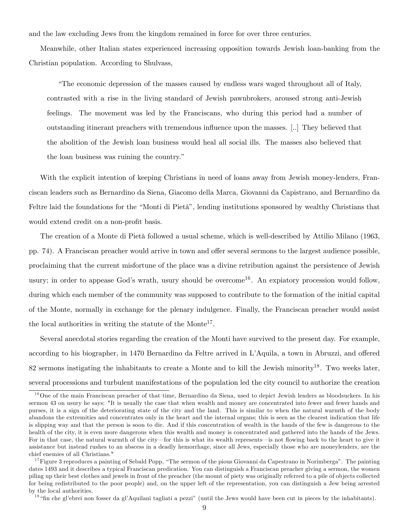and the law excluding Jews from the kingdom remained in force for over three centuries.

Meanwhile, other Italian states experienced increasing opposition towards Jewish loan-banking from the Christian population. According to Shulvass,

ìThe economic depression of the masses caused by endless wars waged throughout all of Italy, contrasted with a rise in the living standard of Jewish pawnbrokers, aroused strong anti-Jewish feelings. The movement was led by the Franciscans, who during this period had a number of outstanding itinerant preachers with tremendous ináuence upon the masses. [..] They believed that the abolition of the Jewish loan business would heal all social ills. The masses also believed that the loan business was ruining the country."

With the explicit intention of keeping Christians in need of loans away from Jewish money-lenders, Franciscan leaders such as Bernardino da Siena, Giacomo della Marca, Giovanni da Capistrano, and Bernardino da Feltre laid the foundations for the "Monti di Pietà", lending institutions sponsored by wealthy Christians that would extend credit on a non-profit basis.

The creation of a Monte di Pietà followed a usual scheme, which is well-described by Attilio Milano (1963, pp. 74). A Franciscan preacher would arrive in town and offer several sermons to the largest audience possible, proclaiming that the current misfortune of the place was a divine retribution against the persistence of Jewish usury; in order to appease God's wrath, usury should be overcome<sup>16</sup>. An expiatory procession would follow, during which each member of the community was supposed to contribute to the formation of the initial capital of the Monte, normally in exchange for the plenary indulgence. Finally, the Franciscan preacher would assist the local authorities in writing the statute of the Monte<sup>17</sup>.

Several anecdotal stories regarding the creation of the Monti have survived to the present day. For example, according to his biographer, in 1470 Bernardino da Feltre arrived in L'Aquila, a town in Abruzzi, and offered 82 sermons instigating the inhabitants to create a Monte and to kill the Jewish minority<sup>18</sup>. Two weeks later, several processions and turbulent manifestations of the population led the city council to authorize the creation

<sup>&</sup>lt;sup>16</sup>One of the main Franciscan preacher of that time, Bernardino da Siena, used to depict Jewish lenders as bloodsuckers. In his sermon 43 on usury he says: "It is usually the case that when wealth and money are concentrated into fewer and fewer hands and purses, it is a sign of the deteriorating state of the city and the land. This is similar to when the natural warmth of the body abandons the extremities and concentrates only in the heart and the internal organs; this is seen as the clearest indication that life is slipping way and that the person is soon to die. And if this concentration of wealth in the hands of the few is dangerous to the health of the city, it is even more dangerous when this wealth and money is concentrated and gathered into the hands of the Jews. For in that case, the natural warmth of the city—for this is what its wealth represents—is not flowing back to the heart to give it assistance but instead rushes to an abscess in a deadly hemorrhage, since all Jews, especially those who are moneylenders, are the chief enemies of all Christians."

 $17$ Figure 3 reproduces a painting of Sebald Popp, "The sermon of the pious Giovanni da Capestrano in Norimberga". The painting dates 1493 and it describes a typical Franciscan predication. You can distinguish a Franciscan preacher giving a sermon, the women piling up their best clothes and jewels in front of the preacher (the mount of piety was originally referred to a pile of objects collected for being redistributed to the poor people) and, on the upper left of the representation, you can distinguish a Jew being arrested by the local authorities.

<sup>&</sup>lt;sup>18</sup> "fin che gl'ebrei non fosser da gl'Aquilani tagliati a pezzi" (until the Jews would have been cut in pieces by the inhabitants).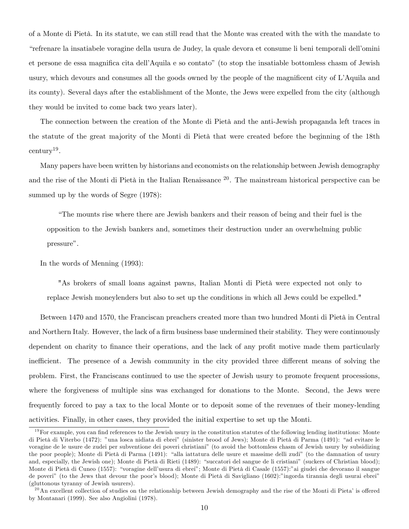of a Monte di Pietà. In its statute, we can still read that the Monte was created with the with the mandate to ìrefrenare la insatiabele voragine della usura de Judey, la quale devora et consume li beni temporali dellíomini et persone de essa magnifica cita dell'Aquila e so contato" (to stop the insatiable bottomless chasm of Jewish usury, which devours and consumes all the goods owned by the people of the magnificent city of L'Aquila and its county). Several days after the establishment of the Monte, the Jews were expelled from the city (although they would be invited to come back two years later).

The connection between the creation of the Monte di Pietà and the anti-Jewish propaganda left traces in the statute of the great majority of the Monti di Pietà that were created before the beginning of the 18th century<sup>19</sup> .

Many papers have been written by historians and economists on the relationship between Jewish demography and the rise of the Monti di Pietà in the Italian Renaissance  $20$ . The mainstream historical perspective can be summed up by the words of Segre (1978):

ìThe mounts rise where there are Jewish bankers and their reason of being and their fuel is the opposition to the Jewish bankers and, sometimes their destruction under an overwhelming public pressure".

In the words of Menning (1993):

"As brokers of small loans against pawns, Italian Monti di Pietà were expected not only to replace Jewish moneylenders but also to set up the conditions in which all Jews could be expelled."

Between 1470 and 1570, the Franciscan preachers created more than two hundred Monti di Pietà in Central and Northern Italy. However, the lack of a firm business base undermined their stability. They were continuously dependent on charity to finance their operations, and the lack of any profit motive made them particularly inefficient. The presence of a Jewish community in the city provided three different means of solving the problem. First, the Franciscans continued to use the specter of Jewish usury to promote frequent processions, where the forgiveness of multiple sins was exchanged for donations to the Monte. Second, the Jews were frequently forced to pay a tax to the local Monte or to deposit some of the revenues of their money-lending activities. Finally, in other cases, they provided the initial expertise to set up the Monti.

 $19$ For example, you can find references to the Jewish usury in the constitution statutes of the following lending institutions: Monte di Pietà di Viterbo (1472): "una losca nidiata di ebrei" (sinister brood of Jews); Monte di Pietà di Parma (1491): "ad evitare le voragine de le usure de zudei per subventione dei poveri christianiî (to avoid the bottomless chasm of Jewish usury by subsidizing the poor people); Monte di Pietà di Parma (1491): "alla iattatura delle usure et massime delli zudi" (to the damnation of usury and, especially, the Jewish one); Monte di Pietà di Rieti (1489): "succatori del sangue de li cristiani" (suckers of Christian blood); Monte di Pietà di Cuneo (1557): "voragine dell'usura di ebrei"; Monte di Pietà di Casale (1557):"ai giudei che devorano il sangue de poveri" (to the Jews that devour the poor's blood); Monte di Pietà di Savigliano (1602):"ingorda tirannia degli usurai ebrei" (gluttonous tyranny of Jewish usurers).

 $^{20}$ An excellent collection of studies on the relationship between Jewish demography and the rise of the Monti di Pieta' is offered by Montanari (1999). See also Angiolini (1978).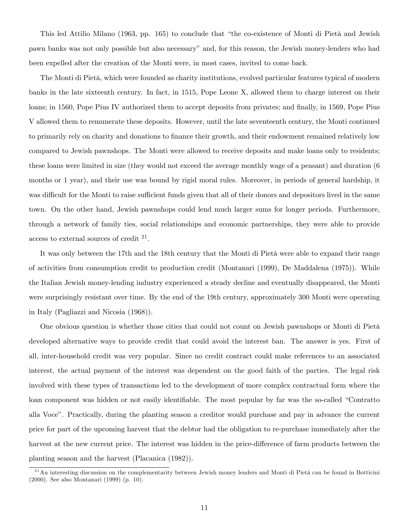This led Attilio Milano (1963, pp. 165) to conclude that "the co-existence of Monti di Pietà and Jewish pawn banks was not only possible but also necessaryîand, for this reason, the Jewish money-lenders who had been expelled after the creation of the Monti were, in most cases, invited to come back.

The Monti di Pietà, which were founded as charity institutions, evolved particular features typical of modern banks in the late sixteenth century. In fact, in 1515, Pope Leone X, allowed them to charge interest on their loans; in 1560, Pope Pius IV authorized them to accept deposits from privates; and finally, in 1569, Pope Pius V allowed them to remunerate these deposits. However, until the late seventeenth century, the Monti continued to primarily rely on charity and donations to finance their growth, and their endowment remained relatively low compared to Jewish pawnshops. The Monti were allowed to receive deposits and make loans only to residents; these loans were limited in size (they would not exceed the average monthly wage of a peasant) and duration (6 months or 1 year), and their use was bound by rigid moral rules. Moreover, in periods of general hardship, it was difficult for the Monti to raise sufficient funds given that all of their donors and depositors lived in the same town. On the other hand, Jewish pawnshops could lend much larger sums for longer periods. Furthermore, through a network of family ties, social relationships and economic partnerships, they were able to provide access to external sources of credit  $2<sup>1</sup>$ .

It was only between the 17th and the 18th century that the Monti di Pietà were able to expand their range of activities from consumption credit to production credit (Montanari (1999), De Maddalena (1975)). While the Italian Jewish money-lending industry experienced a steady decline and eventually disappeared, the Monti were surprisingly resistant over time. By the end of the 19th century, approximately 300 Monti were operating in Italy (Pagliazzi and Nicosia (1968)).

One obvious question is whether those cities that could not count on Jewish pawnshops or Monti di Pietà developed alternative ways to provide credit that could avoid the interest ban. The answer is yes. First of all, inter-household credit was very popular. Since no credit contract could make references to an associated interest, the actual payment of the interest was dependent on the good faith of the parties. The legal risk involved with these types of transactions led to the development of more complex contractual form where the loan component was hidden or not easily identifiable. The most popular by far was the so-called "Contratto" alla Voceî. Practically, during the planting season a creditor would purchase and pay in advance the current price for part of the upcoming harvest that the debtor had the obligation to re-purchase immediately after the harvest at the new current price. The interest was hidden in the price-difference of farm products between the planting season and the harvest (Placanica (1982)).

<sup>&</sup>lt;sup>21</sup>An interesting discussion on the complementarity between Jewish money lenders and Monti di Pietà can be found in Botticini (2000). See also Montanari (1999) (p. 10).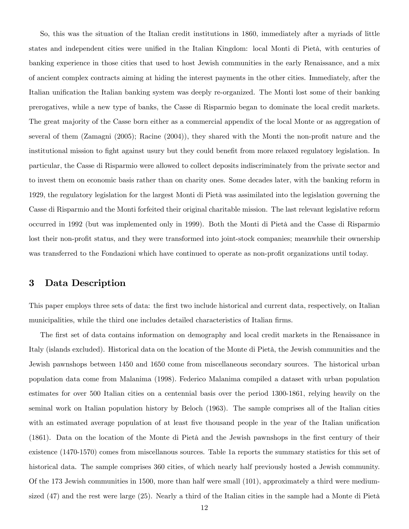So, this was the situation of the Italian credit institutions in 1860, immediately after a myriads of little states and independent cities were unified in the Italian Kingdom: local Monti di Pietà, with centuries of banking experience in those cities that used to host Jewish communities in the early Renaissance, and a mix of ancient complex contracts aiming at hiding the interest payments in the other cities. Immediately, after the Italian unification the Italian banking system was deeply re-organized. The Monti lost some of their banking prerogatives, while a new type of banks, the Casse di Risparmio began to dominate the local credit markets. The great majority of the Casse born either as a commercial appendix of the local Monte or as aggregation of several of them (Zamagni  $(2005)$ ; Racine  $(2004)$ ), they shared with the Monti the non-profit nature and the institutional mission to fight against usury but they could benefit from more relaxed regulatory legislation. In particular, the Casse di Risparmio were allowed to collect deposits indiscriminately from the private sector and to invest them on economic basis rather than on charity ones. Some decades later, with the banking reform in 1929, the regulatory legislation for the largest Monti di Pietà was assimilated into the legislation governing the Casse di Risparmio and the Monti forfeited their original charitable mission. The last relevant legislative reform occurred in 1992 (but was implemented only in 1999). Both the Monti di Pietà and the Casse di Risparmio lost their non-profit status, and they were transformed into joint-stock companies; meanwhile their ownership was transferred to the Fondazioni which have continued to operate as non-profit organizations until today.

### 3 Data Description

This paper employs three sets of data: the first two include historical and current data, respectively, on Italian municipalities, while the third one includes detailed characteristics of Italian firms.

The first set of data contains information on demography and local credit markets in the Renaissance in Italy (islands excluded). Historical data on the location of the Monte di Pietà, the Jewish communities and the Jewish pawnshops between 1450 and 1650 come from miscellaneous secondary sources. The historical urban population data come from Malanima (1998). Federico Malanima compiled a dataset with urban population estimates for over 500 Italian cities on a centennial basis over the period 1300-1861, relying heavily on the seminal work on Italian population history by Beloch (1963). The sample comprises all of the Italian cities with an estimated average population of at least five thousand people in the year of the Italian unification (1861). Data on the location of the Monte di Pietà and the Jewish pawnshops in the first century of their existence (1470-1570) comes from miscellanous sources. Table 1a reports the summary statistics for this set of historical data. The sample comprises 360 cities, of which nearly half previously hosted a Jewish community. Of the 173 Jewish communities in 1500, more than half were small (101), approximately a third were mediumsized  $(47)$  and the rest were large  $(25)$ . Nearly a third of the Italian cities in the sample had a Monte di Pietà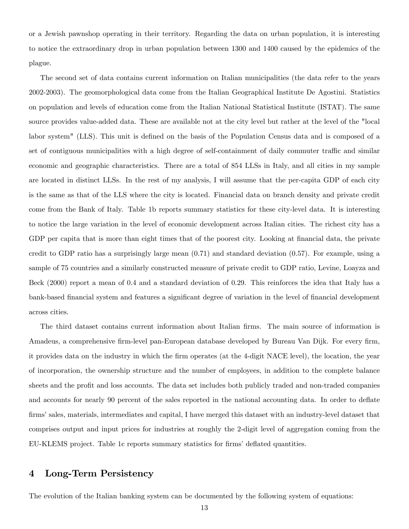or a Jewish pawnshop operating in their territory. Regarding the data on urban population, it is interesting to notice the extraordinary drop in urban population between 1300 and 1400 caused by the epidemics of the plague.

The second set of data contains current information on Italian municipalities (the data refer to the years 2002-2003). The geomorphological data come from the Italian Geographical Institute De Agostini. Statistics on population and levels of education come from the Italian National Statistical Institute (ISTAT). The same source provides value-added data. These are available not at the city level but rather at the level of the "local labor system" (LLS). This unit is defined on the basis of the Population Census data and is composed of a set of contiguous municipalities with a high degree of self-containment of daily commuter traffic and similar economic and geographic characteristics. There are a total of 854 LLSs in Italy, and all cities in my sample are located in distinct LLSs. In the rest of my analysis, I will assume that the per-capita GDP of each city is the same as that of the LLS where the city is located. Financial data on branch density and private credit come from the Bank of Italy. Table 1b reports summary statistics for these city-level data. It is interesting to notice the large variation in the level of economic development across Italian cities. The richest city has a GDP per capita that is more than eight times that of the poorest city. Looking at financial data, the private credit to GDP ratio has a surprisingly large mean  $(0.71)$  and standard deviation  $(0.57)$ . For example, using a sample of 75 countries and a similarly constructed measure of private credit to GDP ratio, Levine, Loayza and Beck (2000) report a mean of 0.4 and a standard deviation of 0.29. This reinforces the idea that Italy has a bank-based financial system and features a significant degree of variation in the level of financial development across cities.

The third dataset contains current information about Italian firms. The main source of information is Amadeus, a comprehensive firm-level pan-European database developed by Bureau Van Dijk. For every firm, it provides data on the industry in which the Örm operates (at the 4-digit NACE level), the location, the year of incorporation, the ownership structure and the number of employees, in addition to the complete balance sheets and the profit and loss accounts. The data set includes both publicly traded and non-traded companies and accounts for nearly 90 percent of the sales reported in the national accounting data. In order to deflate firms' sales, materials, intermediates and capital, I have merged this dataset with an industry-level dataset that comprises output and input prices for industries at roughly the 2-digit level of aggregation coming from the EU-KLEMS project. Table 1c reports summary statistics for firms' deflated quantities.

### 4 Long-Term Persistency

The evolution of the Italian banking system can be documented by the following system of equations: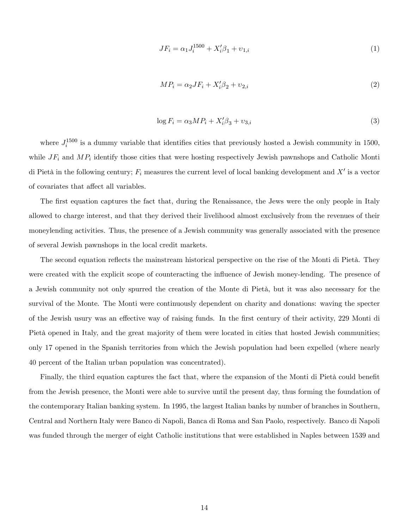$$
JF_i = \alpha_1 J_i^{1500} + X_i' \beta_1 + \nu_{1,i} \tag{1}
$$

$$
MP_i = \alpha_2 JF_i + X_i' \beta_2 + \upsilon_{2,i} \tag{2}
$$

$$
\log F_i = \alpha_3 M P_i + X_i' \beta_3 + \upsilon_{3,i} \tag{3}
$$

where  $J_i^{1500}$  is a dummy variable that identifies cities that previously hosted a Jewish community in 1500, while  $JF_i$  and  $MP_i$  identify those cities that were hosting respectively Jewish pawnshops and Catholic Monti di Pietà in the following century;  $F_i$  measures the current level of local banking development and  $X'$  is a vector of covariates that affect all variables.

The first equation captures the fact that, during the Renaissance, the Jews were the only people in Italy allowed to charge interest, and that they derived their livelihood almost exclusively from the revenues of their moneylending activities. Thus, the presence of a Jewish community was generally associated with the presence of several Jewish pawnshops in the local credit markets.

The second equation reflects the mainstream historical perspective on the rise of the Monti di Pietà. They were created with the explicit scope of counteracting the ináuence of Jewish money-lending. The presence of a Jewish community not only spurred the creation of the Monte di Pietà, but it was also necessary for the survival of the Monte. The Monti were continuously dependent on charity and donations: waving the specter of the Jewish usury was an effective way of raising funds. In the first century of their activity, 229 Monti di Pietà opened in Italy, and the great majority of them were located in cities that hosted Jewish communities; only 17 opened in the Spanish territories from which the Jewish population had been expelled (where nearly 40 percent of the Italian urban population was concentrated).

Finally, the third equation captures the fact that, where the expansion of the Monti di Pietà could benefit from the Jewish presence, the Monti were able to survive until the present day, thus forming the foundation of the contemporary Italian banking system. In 1995, the largest Italian banks by number of branches in Southern, Central and Northern Italy were Banco di Napoli, Banca di Roma and San Paolo, respectively. Banco di Napoli was funded through the merger of eight Catholic institutions that were established in Naples between 1539 and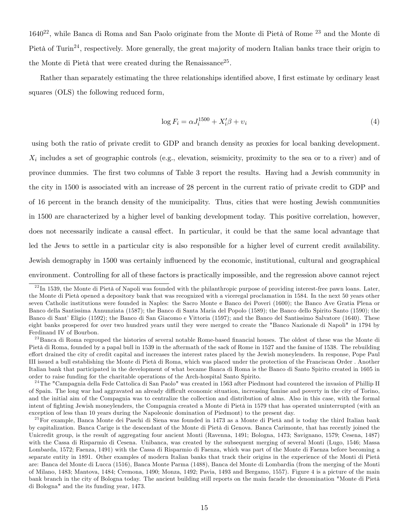$1640^{22}$ , while Banca di Roma and San Paolo originate from the Monte di Pietà of Rome  $^{23}$  and the Monte di Pietà of Turin<sup>24</sup>, respectively. More generally, the great majority of modern Italian banks trace their origin to the Monte di Pietà that were created during the Renaissance<sup>25</sup>.

Rather than separately estimating the three relationships identified above, I first estimate by ordinary least squares (OLS) the following reduced form,

$$
\log F_i = \alpha J_i^{1500} + X_i' \beta + v_i \tag{4}
$$

using both the ratio of private credit to GDP and branch density as proxies for local banking development.  $X_i$  includes a set of geographic controls (e.g., elevation, seismicity, proximity to the sea or to a river) and of province dummies. The Örst two columns of Table 3 report the results. Having had a Jewish community in the city in 1500 is associated with an increase of 28 percent in the current ratio of private credit to GDP and of 16 percent in the branch density of the municipality. Thus, cities that were hosting Jewish communities in 1500 are characterized by a higher level of banking development today. This positive correlation, however, does not necessarily indicate a causal effect. In particular, it could be that the same local advantage that led the Jews to settle in a particular city is also responsible for a higher level of current credit availability. Jewish demography in 1500 was certainly influenced by the economic, institutional, cultural and geographical environment. Controlling for all of these factors is practically impossible, and the regression above cannot reject

 $^{22}$ In 1539, the Monte di Pietà of Napoli was founded with the philanthropic purpose of providing interest-free pawn loans. Later, the Monte di Pietà opened a depository bank that was recognized with a viceregal proclamation in 1584. In the next 50 years other seven Catholic institutions were founded in Naples: the Sacro Monte e Banco dei Poveri (1600); the Banco Ave Gratia Plena or Banco della Santissima Annunziata (1587); the Banco di Santa Maria del Popolo (1589); the Banco dello Spirito Santo (1590); the Banco di Sant' Eligio (1592); the Banco di San Giacomo e Vittoria (1597); and the Banco del Santissimo Salvatore (1640). These eight banks prospered for over two hundred years until they were merged to create the "Banco Nazionale di Napoli" in 1794 by Ferdinand IV of Bourbon.

<sup>&</sup>lt;sup>23</sup>Banca di Roma regrouped the histories of several notable Rome-based financial houses. The oldest of these was the Monte di Pietà di Roma, founded by a papal bull in 1539 in the aftermath of the sack of Rome in 1527 and the famine of 1538. The rebuilding effort drained the city of credit capital and increases the interest rates placed by the Jewish moneylenders. In response, Pope Paul III issued a bull establishing the Monte di Pietà di Roma, which was placed under the protection of the Franciscan Order. Another Italian bank that participated in the development of what became Banca di Roma is the Banco di Santo Spirito created in 1605 in order to raise funding for the charitable operations of the Arch-hospital Santo Spirito.

<sup>&</sup>lt;sup>24</sup>The "Campagnia della Fede Cattolica di San Paolo" was created in 1563 after Piedmont had countered the invasion of Phillip II of Spain. The long war had aggravated an already difficult economic situation, increasing famine and poverty in the city of Torino, and the initial aim of the Compagnia was to centralize the collection and distribution of alms. Also in this case, with the formal intent of fighting Jewish moneylenders, the Compagnia created a Monte di Pietà in 1579 that has operated uninterrupted (with an exception of less than 10 years during the Napoleonic domination of Piedmont) to the present day.

 $^{25}$ For example, Banca Monte dei Paschi di Siena was founded in 1473 as a Monte di Pietà and is today the third Italian bank by capitalization. Banca Carige is the descendant of the Monte di Pietà di Genova. Banca Carimonte, that has recently joined the Unicredit group, is the result of aggregating four ancient Monti (Ravenna, 1491; Bologna, 1473; Savignano, 1579; Cesena, 1487) with the Cassa di Risparmio di Cesena. Unibanca, was created by the subsequent merging of several Monti (Lugo, 1546; Massa Lombarda, 1572; Faenza, 1491) with the Cassa di Risparmio di Faenza, which was part of the Monte di Faenza before becoming a separate entity in 1891. Other examples of modern Italian banks that track their origins in the experience of the Monti di Pietà are: Banca del Monte di Lucca (1516), Banca Monte Parma (1488), Banca del Monte di Lombardia (from the merging of the Monti of Milano, 1483; Mantova, 1484; Cremona, 1490; Monza, 1492; Pavia, 1493 and Bergamo, 1557). Figure 4 is a picture of the main bank branch in the city of Bologna today. The ancient building still reports on the main facade the denomination "Monte di Pietà di Bologna" and the its funding year, 1473.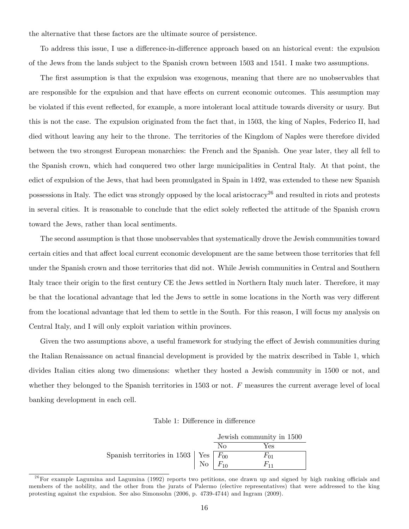the alternative that these factors are the ultimate source of persistence.

To address this issue, I use a difference-in-difference approach based on an historical event: the expulsion of the Jews from the lands subject to the Spanish crown between 1503 and 1541. I make two assumptions.

The first assumption is that the expulsion was exogenous, meaning that there are no unobservables that are responsible for the expulsion and that have effects on current economic outcomes. This assumption may be violated if this event reflected, for example, a more intolerant local attitude towards diversity or usury. But this is not the case. The expulsion originated from the fact that, in 1503, the king of Naples, Federico II, had died without leaving any heir to the throne. The territories of the Kingdom of Naples were therefore divided between the two strongest European monarchies: the French and the Spanish. One year later, they all fell to the Spanish crown, which had conquered two other large municipalities in Central Italy. At that point, the edict of expulsion of the Jews, that had been promulgated in Spain in 1492, was extended to these new Spanish possessions in Italy. The edict was strongly opposed by the local aristocracy<sup>26</sup> and resulted in riots and protests in several cities. It is reasonable to conclude that the edict solely reflected the attitude of the Spanish crown toward the Jews, rather than local sentiments.

The second assumption is that those unobservables that systematically drove the Jewish communities toward certain cities and that affect local current economic development are the same between those territories that fell under the Spanish crown and those territories that did not. While Jewish communities in Central and Southern Italy trace their origin to the first century CE the Jews settled in Northern Italy much later. Therefore, it may be that the locational advantage that led the Jews to settle in some locations in the North was very different from the locational advantage that led them to settle in the South. For this reason, I will focus my analysis on Central Italy, and I will only exploit variation within provinces.

Given the two assumptions above, a useful framework for studying the effect of Jewish communities during the Italian Renaissance on actual financial development is provided by the matrix described in Table 1, which divides Italian cities along two dimensions: whether they hosted a Jewish community in 1500 or not, and whether they belonged to the Spanish territories in 1503 or not. F measures the current average level of local banking development in each cell.

Table 1: Difference in difference

|                                            |             |    | Jewish community in 1500 |
|--------------------------------------------|-------------|----|--------------------------|
|                                            |             | Nο | Yes                      |
| Spanish territories in 1503   Yes $F_{00}$ |             |    | $F_{01}$                 |
|                                            | No $F_{10}$ |    | $F_{11}$                 |

 $^{26}$ For example Lagumina and Lagumina (1992) reports two petitions, one drawn up and signed by high ranking officials and members of the nobility, and the other from the jurats of Palermo (elective representatives) that were addressed to the king protesting against the expulsion. See also Simonsohn (2006, p. 4739-4744) and Ingram (2009).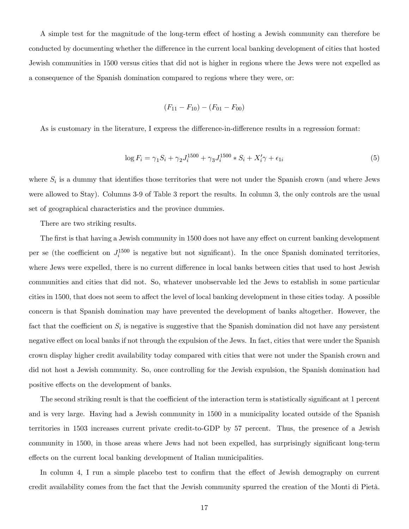A simple test for the magnitude of the long-term effect of hosting a Jewish community can therefore be conducted by documenting whether the difference in the current local banking development of cities that hosted Jewish communities in 1500 versus cities that did not is higher in regions where the Jews were not expelled as a consequence of the Spanish domination compared to regions where they were, or:

$$
(F_{11} - F_{10}) - (F_{01} - F_{00})
$$

As is customary in the literature, I express the difference-in-difference results in a regression format:

$$
\log F_i = \gamma_1 S_i + \gamma_2 J_i^{1500} + \gamma_3 J_i^{1500} * S_i + X_i' \gamma + \epsilon_{1i}
$$
\n(5)

where  $S_i$  is a dummy that identifies those territories that were not under the Spanish crown (and where Jews were allowed to Stay). Columns 3-9 of Table 3 report the results. In column 3, the only controls are the usual set of geographical characteristics and the province dummies.

There are two striking results.

The first is that having a Jewish community in 1500 does not have any effect on current banking development per se (the coefficient on  $J_i^{1500}$  is negative but not significant). In the once Spanish dominated territories, where Jews were expelled, there is no current difference in local banks between cities that used to host Jewish communities and cities that did not. So, whatever unobservable led the Jews to establish in some particular cities in 1500, that does not seem to affect the level of local banking development in these cities today. A possible concern is that Spanish domination may have prevented the development of banks altogether. However, the fact that the coefficient on  $S_i$  is negative is suggestive that the Spanish domination did not have any persistent negative effect on local banks if not through the expulsion of the Jews. In fact, cities that were under the Spanish crown display higher credit availability today compared with cities that were not under the Spanish crown and did not host a Jewish community. So, once controlling for the Jewish expulsion, the Spanish domination had positive effects on the development of banks.

The second striking result is that the coefficient of the interaction term is statistically significant at 1 percent and is very large. Having had a Jewish community in 1500 in a municipality located outside of the Spanish territories in 1503 increases current private credit-to-GDP by 57 percent. Thus, the presence of a Jewish community in 1500, in those areas where Jews had not been expelled, has surprisingly significant long-term effects on the current local banking development of Italian municipalities.

In column 4, I run a simple placebo test to confirm that the effect of Jewish demography on current credit availability comes from the fact that the Jewish community spurred the creation of the Monti di Pietà.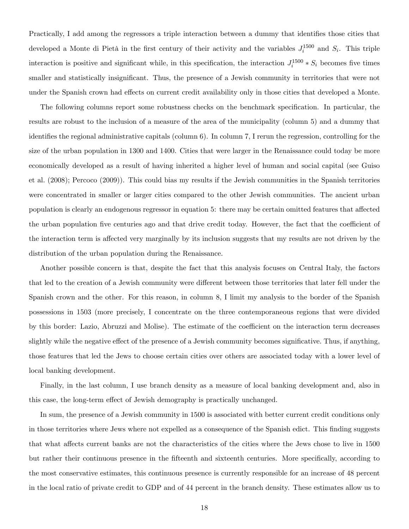Practically, I add among the regressors a triple interaction between a dummy that identifies those cities that developed a Monte di Pietà in the first century of their activity and the variables  $J_i^{1500}$  and  $S_i$ . This triple interaction is positive and significant while, in this specification, the interaction  $J_i^{1500} * S_i$  becomes five times smaller and statistically insignificant. Thus, the presence of a Jewish community in territories that were not under the Spanish crown had effects on current credit availability only in those cities that developed a Monte.

The following columns report some robustness checks on the benchmark specification. In particular, the results are robust to the inclusion of a measure of the area of the municipality (column 5) and a dummy that identifies the regional administrative capitals (column 6). In column 7, I rerun the regression, controlling for the size of the urban population in 1300 and 1400. Cities that were larger in the Renaissance could today be more economically developed as a result of having inherited a higher level of human and social capital (see Guiso et al. (2008); Percoco (2009)). This could bias my results if the Jewish communities in the Spanish territories were concentrated in smaller or larger cities compared to the other Jewish communities. The ancient urban population is clearly an endogenous regressor in equation 5: there may be certain omitted features that affected the urban population five centuries ago and that drive credit today. However, the fact that the coefficient of the interaction term is affected very marginally by its inclusion suggests that my results are not driven by the distribution of the urban population during the Renaissance.

Another possible concern is that, despite the fact that this analysis focuses on Central Italy, the factors that led to the creation of a Jewish community were different between those territories that later fell under the Spanish crown and the other. For this reason, in column 8, I limit my analysis to the border of the Spanish possessions in 1503 (more precisely, I concentrate on the three contemporaneous regions that were divided by this border: Lazio, Abruzzi and Molise). The estimate of the coefficient on the interaction term decreases slightly while the negative effect of the presence of a Jewish community becomes significative. Thus, if anything, those features that led the Jews to choose certain cities over others are associated today with a lower level of local banking development.

Finally, in the last column, I use branch density as a measure of local banking development and, also in this case, the long-term effect of Jewish demography is practically unchanged.

In sum, the presence of a Jewish community in 1500 is associated with better current credit conditions only in those territories where Jews where not expelled as a consequence of the Spanish edict. This Önding suggests that what affects current banks are not the characteristics of the cities where the Jews chose to live in 1500 but rather their continuous presence in the fifteenth and sixteenth centuries. More specifically, according to the most conservative estimates, this continuous presence is currently responsible for an increase of 48 percent in the local ratio of private credit to GDP and of 44 percent in the branch density. These estimates allow us to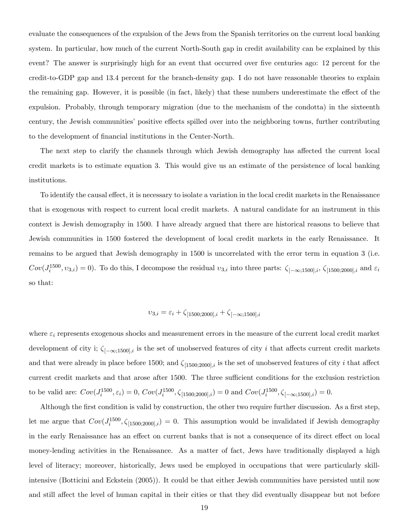evaluate the consequences of the expulsion of the Jews from the Spanish territories on the current local banking system. In particular, how much of the current North-South gap in credit availability can be explained by this event? The answer is surprisingly high for an event that occurred over five centuries ago: 12 percent for the credit-to-GDP gap and 13.4 percent for the branch-density gap. I do not have reasonable theories to explain the remaining gap. However, it is possible (in fact, likely) that these numbers underestimate the effect of the expulsion. Probably, through temporary migration (due to the mechanism of the condotta) in the sixteenth century, the Jewish communities' positive effects spilled over into the neighboring towns, further contributing to the development of Önancial institutions in the Center-North.

The next step to clarify the channels through which Jewish demography has affected the current local credit markets is to estimate equation 3. This would give us an estimate of the persistence of local banking institutions.

To identify the causal effect, it is necessary to isolate a variation in the local credit markets in the Renaissance that is exogenous with respect to current local credit markets. A natural candidate for an instrument in this context is Jewish demography in 1500. I have already argued that there are historical reasons to believe that Jewish communities in 1500 fostered the development of local credit markets in the early Renaissance. It remains to be argued that Jewish demography in 1500 is uncorrelated with the error term in equation 3 (i.e.  $Cov(J_i^{1500}, v_{3,i}) = 0$ ). To do this, I decompose the residual  $v_{3,i}$  into three parts:  $\zeta_{[-\infty;1500],i}$ ,  $\zeta_{[1500;2000],i}$  and  $\varepsilon_i$ so that:

## $v_{3,i} = \varepsilon_i + \zeta_{[1500;2000],i} + \zeta_{[-\infty;1500],i}$

where  $\varepsilon_i$  represents exogenous shocks and measurement errors in the measure of the current local credit market development of city i;  $\zeta_{[-\infty;1500],i}$  is the set of unobserved features of city i that affects current credit markets and that were already in place before 1500; and  $\zeta_{[1500;2000],i}$  is the set of unobserved features of city i that affect current credit markets and that arose after 1500. The three sufficient conditions for the exclusion restriction to be valid are:  $Cov(J_i^{1500}, \varepsilon_i) = 0$ ,  $Cov(J_i^{1500}, \zeta_{[1500;2000],i}) = 0$  and  $Cov(J_i^{1500}, \zeta_{[-\infty;1500],i}) = 0$ .

Although the first condition is valid by construction, the other two require further discussion. As a first step, let me argue that  $Cov(J_i^{1500}, \zeta_{[1500;2000],i}) = 0$ . This assumption would be invalidated if Jewish demography in the early Renaissance has an effect on current banks that is not a consequence of its direct effect on local money-lending activities in the Renaissance. As a matter of fact, Jews have traditionally displayed a high level of literacy; moreover, historically, Jews used be employed in occupations that were particularly skillintensive (Botticini and Eckstein (2005)). It could be that either Jewish communities have persisted until now and still affect the level of human capital in their cities or that they did eventually disappear but not before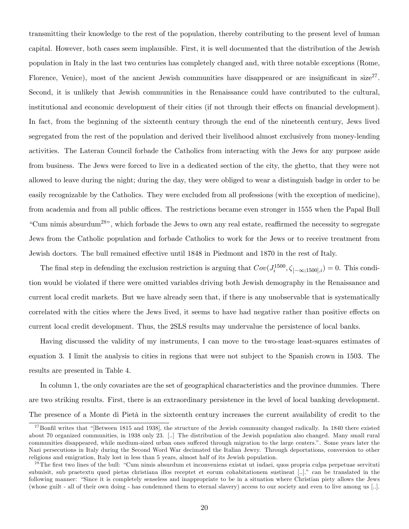transmitting their knowledge to the rest of the population, thereby contributing to the present level of human capital. However, both cases seem implausible. First, it is well documented that the distribution of the Jewish population in Italy in the last two centuries has completely changed and, with three notable exceptions (Rome, Florence, Venice), most of the ancient Jewish communities have disappeared or are insignificant in size<sup>27</sup>. Second, it is unlikely that Jewish communities in the Renaissance could have contributed to the cultural, institutional and economic development of their cities (if not through their effects on financial development). In fact, from the beginning of the sixteenth century through the end of the nineteenth century, Jews lived segregated from the rest of the population and derived their livelihood almost exclusively from money-lending activities. The Lateran Council forbade the Catholics from interacting with the Jews for any purpose aside from business. The Jews were forced to live in a dedicated section of the city, the ghetto, that they were not allowed to leave during the night; during the day, they were obliged to wear a distinguish badge in order to be easily recognizable by the Catholics. They were excluded from all professions (with the exception of medicine), from academia and from all public offices. The restrictions became even stronger in 1555 when the Papal Bull "Cum nimis absurdum<sup>28</sup>", which forbade the Jews to own any real estate, reaffirmed the necessity to segregate Jews from the Catholic population and forbade Catholics to work for the Jews or to receive treatment from Jewish doctors. The bull remained effective until 1848 in Piedmont and 1870 in the rest of Italy.

The final step in defending the exclusion restriction is arguing that  $Cov(J_i^{1500}, \zeta_{[-\infty;1500],i}) = 0$ . This condition would be violated if there were omitted variables driving both Jewish demography in the Renaissance and current local credit markets. But we have already seen that, if there is any unobservable that is systematically correlated with the cities where the Jews lived, it seems to have had negative rather than positive effects on current local credit development. Thus, the 2SLS results may undervalue the persistence of local banks.

Having discussed the validity of my instruments, I can move to the two-stage least-squares estimates of equation 3. I limit the analysis to cities in regions that were not subject to the Spanish crown in 1503. The results are presented in Table 4.

In column 1, the only covariates are the set of geographical characteristics and the province dummies. There are two striking results. First, there is an extraordinary persistence in the level of local banking development. The presence of a Monte di Pietà in the sixteenth century increases the current availability of credit to the

 $^{27}$ Bonfil writes that "[Between 1815 and 1938], the structure of the Jewish community changed radically. In 1840 there existed about 70 organized communities, in 1938 only 23. [..] The distribution of the Jewish population also changed. Many small rural communities disappeared, while medium-sized urban ones suffered through migration to the large centers.". Some years later the Nazi persecutions in Italy during the Second Word War decimated the Italian Jewry. Through deportations, conversion to other religions and emigration, Italy lost in less than 5 years, almost half of its Jewish population.

 $2<sup>8</sup>$ The first two lines of the bull: "Cum nimis absurdum et inconveniens existat ut iudaei, quos propria culpa perpetuae servituti submisit, sub praetextu quod pietas christiana illos receptet et eorum cohabitationem sustineat [..]." can be translated in the following manner: "Since it is completely senseless and inappropriate to be in a situation where Christian piety allows the Jews (whose guilt - all of their own doing - has condemned them to eternal slavery) access to our society and even to live among us [..].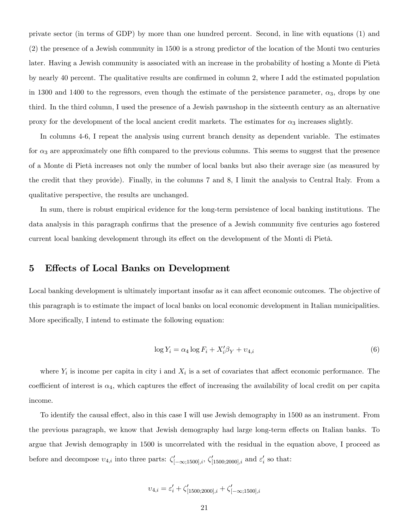private sector (in terms of GDP) by more than one hundred percent. Second, in line with equations (1) and (2) the presence of a Jewish community in 1500 is a strong predictor of the location of the Monti two centuries later. Having a Jewish community is associated with an increase in the probability of hosting a Monte di Pietà by nearly 40 percent. The qualitative results are confirmed in column 2, where I add the estimated population in 1300 and 1400 to the regressors, even though the estimate of the persistence parameter,  $\alpha_3$ , drops by one third. In the third column, I used the presence of a Jewish pawnshop in the sixteenth century as an alternative proxy for the development of the local ancient credit markets. The estimates for  $\alpha_3$  increases slightly.

In columns 4-6, I repeat the analysis using current branch density as dependent variable. The estimates for  $\alpha_3$  are approximately one fifth compared to the previous columns. This seems to suggest that the presence of a Monte di Pietà increases not only the number of local banks but also their average size (as measured by the credit that they provide). Finally, in the columns 7 and 8, I limit the analysis to Central Italy. From a qualitative perspective, the results are unchanged.

In sum, there is robust empirical evidence for the long-term persistence of local banking institutions. The data analysis in this paragraph confirms that the presence of a Jewish community five centuries ago fostered current local banking development through its effect on the development of the Monti di Pietà.

### 5 Effects of Local Banks on Development

Local banking development is ultimately important insofar as it can affect economic outcomes. The objective of this paragraph is to estimate the impact of local banks on local economic development in Italian municipalities. More specifically, I intend to estimate the following equation:

$$
\log Y_i = \alpha_4 \log F_i + X_i' \beta_Y + \nu_{4,i} \tag{6}
$$

where  $Y_i$  is income per capita in city i and  $X_i$  is a set of covariates that affect economic performance. The coefficient of interest is  $\alpha_4$ , which captures the effect of increasing the availability of local credit on per capita income.

To identify the causal effect, also in this case I will use Jewish demography in 1500 as an instrument. From the previous paragraph, we know that Jewish demography had large long-term effects on Italian banks. To argue that Jewish demography in 1500 is uncorrelated with the residual in the equation above, I proceed as before and decompose  $v_{4,i}$  into three parts:  $\zeta'_{[-\infty;1500],i}, \zeta'_{[1500;2000],i}$  and  $\varepsilon'_{i}$  so that:

$$
v_{4,i} = \varepsilon_i' + \zeta_{[1500; 2000], i}' + \zeta_{[-\infty; 1500], i}'
$$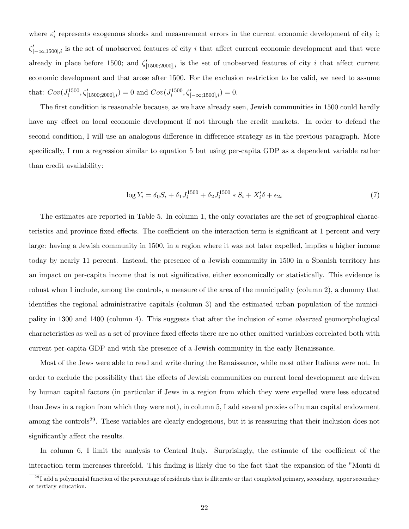where  $\varepsilon'_{i}$  represents exogenous shocks and measurement errors in the current economic development of city i;  $\zeta'_{[-\infty;1500],i}$  is the set of unobserved features of city i that affect current economic development and that were already in place before 1500; and  $\zeta'_{[1500;2000],i}$  is the set of unobserved features of city i that affect current economic development and that arose after 1500. For the exclusion restriction to be valid, we need to assume that:  $Cov(J_i^{1500}, \zeta'_{[1500; 2000], i}) = 0$  and  $Cov(J_i^{1500}, \zeta'_{[-\infty; 1500], i}) = 0$ .

The first condition is reasonable because, as we have already seen, Jewish communities in 1500 could hardly have any effect on local economic development if not through the credit markets. In order to defend the second condition, I will use an analogous difference in difference strategy as in the previous paragraph. More specifically, I run a regression similar to equation 5 but using per-capita GDP as a dependent variable rather than credit availability:

$$
\log Y_i = \delta_0 S_i + \delta_1 J_i^{1500} + \delta_2 J_i^{1500} * S_i + X_i' \delta + \epsilon_{2i}
$$
\n<sup>(7)</sup>

The estimates are reported in Table 5. In column 1, the only covariates are the set of geographical characteristics and province fixed effects. The coefficient on the interaction term is significant at 1 percent and very large: having a Jewish community in 1500, in a region where it was not later expelled, implies a higher income today by nearly 11 percent. Instead, the presence of a Jewish community in 1500 in a Spanish territory has an impact on per-capita income that is not significative, either economically or statistically. This evidence is robust when I include, among the controls, a measure of the area of the municipality (column 2), a dummy that identifies the regional administrative capitals (column 3) and the estimated urban population of the municipality in 1300 and 1400 (column 4). This suggests that after the inclusion of some observed geomorphological characteristics as well as a set of province fixed effects there are no other omitted variables correlated both with current per-capita GDP and with the presence of a Jewish community in the early Renaissance.

Most of the Jews were able to read and write during the Renaissance, while most other Italians were not. In order to exclude the possibility that the effects of Jewish communities on current local development are driven by human capital factors (in particular if Jews in a region from which they were expelled were less educated than Jews in a region from which they were not), in column 5, I add several proxies of human capital endowment among the controls<sup>29</sup>. These variables are clearly endogenous, but it is reassuring that their inclusion does not significantly affect the results.

In column 6, I limit the analysis to Central Italy. Surprisingly, the estimate of the coefficient of the interaction term increases threefold. This Önding is likely due to the fact that the expansion of the "Monti di

 $^{29}$ I add a polynomial function of the percentage of residents that is illiterate or that completed primary, secondary, upper secondary or tertiary education.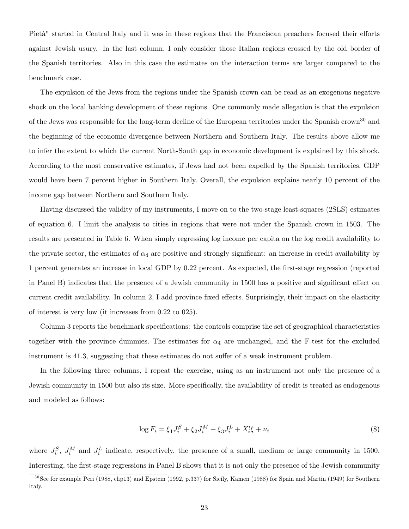Pietà" started in Central Italy and it was in these regions that the Franciscan preachers focused their efforts against Jewish usury. In the last column, I only consider those Italian regions crossed by the old border of the Spanish territories. Also in this case the estimates on the interaction terms are larger compared to the benchmark case.

The expulsion of the Jews from the regions under the Spanish crown can be read as an exogenous negative shock on the local banking development of these regions. One commonly made allegation is that the expulsion of the Jews was responsible for the long-term decline of the European territories under the Spanish crown<sup>30</sup> and the beginning of the economic divergence between Northern and Southern Italy. The results above allow me to infer the extent to which the current North-South gap in economic development is explained by this shock. According to the most conservative estimates, if Jews had not been expelled by the Spanish territories, GDP would have been 7 percent higher in Southern Italy. Overall, the expulsion explains nearly 10 percent of the income gap between Northern and Southern Italy.

Having discussed the validity of my instruments, I move on to the two-stage least-squares (2SLS) estimates of equation 6. I limit the analysis to cities in regions that were not under the Spanish crown in 1503. The results are presented in Table 6. When simply regressing log income per capita on the log credit availability to the private sector, the estimates of  $\alpha_4$  are positive and strongly significant: an increase in credit availability by 1 percent generates an increase in local GDP by 0.22 percent. As expected, the Örst-stage regression (reported in Panel B) indicates that the presence of a Jewish community in 1500 has a positive and significant effect on current credit availability. In column 2, I add province fixed effects. Surprisingly, their impact on the elasticity of interest is very low (it increases from 0.22 to 025).

Column 3 reports the benchmark specifications: the controls comprise the set of geographical characteristics together with the province dummies. The estimates for  $\alpha_4$  are unchanged, and the F-test for the excluded instrument is 41.3, suggesting that these estimates do not suffer of a weak instrument problem.

In the following three columns, I repeat the exercise, using as an instrument not only the presence of a Jewish community in 1500 but also its size. More specifically, the availability of credit is treated as endogenous and modeled as follows:

$$
\log F_i = \xi_1 J_i^S + \xi_2 J_i^M + \xi_3 J_i^L + X_i' \xi + \nu_i \tag{8}
$$

where  $J_i^S$ ,  $J_i^M$  and  $J_i^L$  indicate, respectively, the presence of a small, medium or large community in 1500. Interesting, the first-stage regressions in Panel B shows that it is not only the presence of the Jewish community

 $30$ See for example Peri (1988, chp13) and Epstein (1992, p.337) for Sicily, Kamen (1988) for Spain and Martin (1949) for Southern Italy.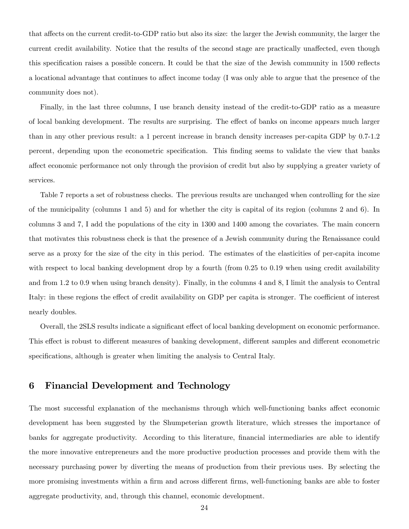that affects on the current credit-to-GDP ratio but also its size: the larger the Jewish community, the larger the current credit availability. Notice that the results of the second stage are practically unaffected, even though this specification raises a possible concern. It could be that the size of the Jewish community in 1500 reflects a locational advantage that continues to affect income today (I was only able to argue that the presence of the community does not).

Finally, in the last three columns, I use branch density instead of the credit-to-GDP ratio as a measure of local banking development. The results are surprising. The effect of banks on income appears much larger than in any other previous result: a 1 percent increase in branch density increases per-capita GDP by 0.7-1.2 percent, depending upon the econometric specification. This finding seems to validate the view that banks affect economic performance not only through the provision of credit but also by supplying a greater variety of services.

Table 7 reports a set of robustness checks. The previous results are unchanged when controlling for the size of the municipality (columns 1 and 5) and for whether the city is capital of its region (columns 2 and 6). In columns 3 and 7, I add the populations of the city in 1300 and 1400 among the covariates. The main concern that motivates this robustness check is that the presence of a Jewish community during the Renaissance could serve as a proxy for the size of the city in this period. The estimates of the elasticities of per-capita income with respect to local banking development drop by a fourth (from 0.25 to 0.19 when using credit availability and from 1.2 to 0.9 when using branch density). Finally, in the columns 4 and 8, I limit the analysis to Central Italy: in these regions the effect of credit availability on GDP per capita is stronger. The coefficient of interest nearly doubles.

Overall, the 2SLS results indicate a significant effect of local banking development on economic performance. This effect is robust to different measures of banking development, different samples and different econometric specifications, although is greater when limiting the analysis to Central Italy.

### 6 Financial Development and Technology

The most successful explanation of the mechanisms through which well-functioning banks affect economic development has been suggested by the Shumpeterian growth literature, which stresses the importance of banks for aggregate productivity. According to this literature, financial intermediaries are able to identify the more innovative entrepreneurs and the more productive production processes and provide them with the necessary purchasing power by diverting the means of production from their previous uses. By selecting the more promising investments within a firm and across different firms, well-functioning banks are able to foster aggregate productivity, and, through this channel, economic development.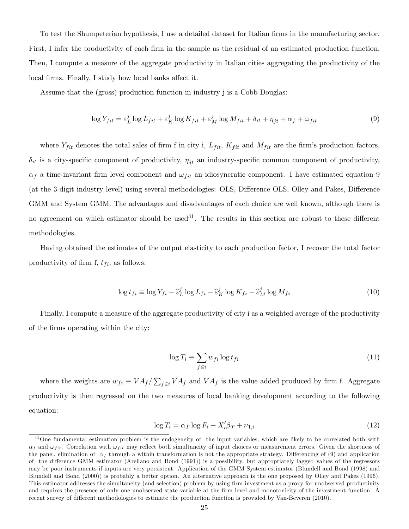To test the Shumpeterian hypothesis, I use a detailed dataset for Italian firms in the manufacturing sector. First, I infer the productivity of each firm in the sample as the residual of an estimated production function. Then, I compute a measure of the aggregate productivity in Italian cities aggregating the productivity of the local firms. Finally, I study how local banks affect it.

Assume that the (gross) production function in industry j is a Cobb-Douglas:

$$
\log Y_{fit} = \varepsilon_L^j \log L_{fit} + \varepsilon_K^j \log K_{fit} + \varepsilon_M^j \log M_{fit} + \delta_{it} + \eta_{jt} + \alpha_f + \omega_{fit}
$$
\n(9)

where  $Y_{fit}$  denotes the total sales of firm f in city i,  $L_{fit}$ ,  $K_{fit}$  and  $M_{fit}$  are the firm's production factors,  $\delta_{it}$  is a city-specific component of productivity,  $\eta_{jt}$  an industry-specific common component of productivity,  $\alpha_f$  a time-invariant firm level component and  $\omega_{fit}$  an idiosyncratic component. I have estimated equation 9 (at the 3-digit industry level) using several methodologies: OLS, Difference OLS, Olley and Pakes, Difference GMM and System GMM. The advantages and disadvantages of each choice are well known, although there is no agreement on which estimator should be used<sup>31</sup>. The results in this section are robust to these different methodologies.

Having obtained the estimates of the output elasticity to each production factor, I recover the total factor productivity of firm f,  $t_{fi}$ , as follows:

$$
\log t_{fi} \equiv \log Y_{fi} - \hat{\varepsilon}_L^j \log L_{fi} - \hat{\varepsilon}_K^j \log K_{fi} - \hat{\varepsilon}_M^j \log M_{fi}
$$
 (10)

Finally, I compute a measure of the aggregate productivity of city i as a weighted average of the productivity of the Örms operating within the city:

$$
\log T_i \equiv \sum_{f \in i} w_{fi} \log t_{fi} \tag{11}
$$

where the weights are  $w_{fi} \equiv VA_f / \sum_{f \in i} VA_f$  and  $VA_f$  is the value added produced by firm f. Aggregate productivity is then regressed on the two measures of local banking development according to the following equation:

$$
\log T_i = \alpha_T \log F_i + X_i' \beta_T + \nu_{1,i} \tag{12}
$$

 $31$ One fundamental estimation problem is the endogeneity of the input variables, which are likely to be correlated both with  $\alpha_f$  and  $\omega_{fit}$ . Correlation with  $\omega_{fit}$  may reflect both simultaneity of input choices or measurement errors. Given the shortness of the panel, elimination of  $\alpha_f$  through a within transformation is not the appropriate strategy. Differencing of (9) and application of the difference GMM estimator (Arellano and Bond (1991)) is a possibility, but appropriately lagged values of the regressors may be poor instruments if inputs are very persistent. Application of the GMM System estimator (Blundell and Bond (1998) and Blundell and Bond (2000)) is probably a better option. An alternative approach is the one proposed by Olley and Pakes (1996). This estimator addresses the simultaneity (and selection) problem by using firm investment as a proxy for unobserved productivity and requires the presence of only one unobserved state variable at the firm level and monotonicity of the investment function. A recent survey of different methodologies to estimate the production function is provided by Van-Beveren (2010).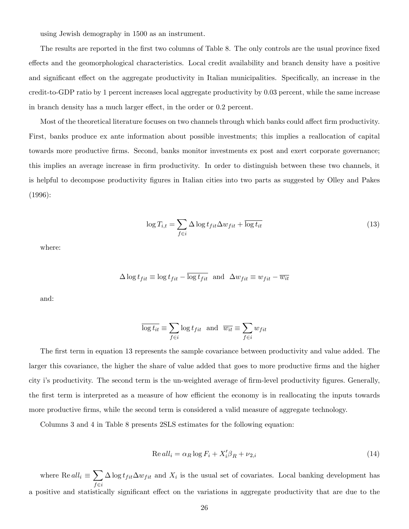using Jewish demography in 1500 as an instrument.

The results are reported in the first two columns of Table 8. The only controls are the usual province fixed effects and the geomorphological characteristics. Local credit availability and branch density have a positive and significant effect on the aggregate productivity in Italian municipalities. Specifically, an increase in the credit-to-GDP ratio by 1 percent increases local aggregate productivity by 0.03 percent, while the same increase in branch density has a much larger effect, in the order or 0.2 percent.

Most of the theoretical literature focuses on two channels through which banks could affect firm productivity. First, banks produce ex ante information about possible investments; this implies a reallocation of capital towards more productive Örms. Second, banks monitor investments ex post and exert corporate governance; this implies an average increase in Örm productivity. In order to distinguish between these two channels, it is helpful to decompose productivity Ögures in Italian cities into two parts as suggested by Olley and Pakes (1996):

$$
\log T_{i,t} = \sum_{f \in i} \Delta \log t_{fit} \Delta w_{fit} + \overline{\log t_{it}} \tag{13}
$$

where:

$$
\Delta \log t_{fit} \equiv \log t_{fit} - \overline{\log t_{fit}} \text{ and } \Delta w_{fit} \equiv w_{fit} - \overline{w_{it}}
$$

and:

$$
\overline{\log t_{it}} \equiv \sum_{f \in i} \log t_{fit} \text{ and } \overline{w_{it}} \equiv \sum_{f \in i} w_{fit}
$$

The first term in equation 13 represents the sample covariance between productivity and value added. The larger this covariance, the higher the share of value added that goes to more productive firms and the higher city i's productivity. The second term is the un-weighted average of firm-level productivity figures. Generally, the first term is interpreted as a measure of how efficient the economy is in reallocating the inputs towards more productive firms, while the second term is considered a valid measure of aggregate technology.

Columns 3 and 4 in Table 8 presents 2SLS estimates for the following equation:

$$
Re \, all_i = \alpha_R \log F_i + X_i' \beta_R + \nu_{2,i} \tag{14}
$$

where  $\text{Re} \, all_i \equiv \sum$  $f\in i$  $\Delta \log t_{fit} \Delta w_{fit}$  and  $X_i$  is the usual set of covariates. Local banking development has a positive and statistically significant effect on the variations in aggregate productivity that are due to the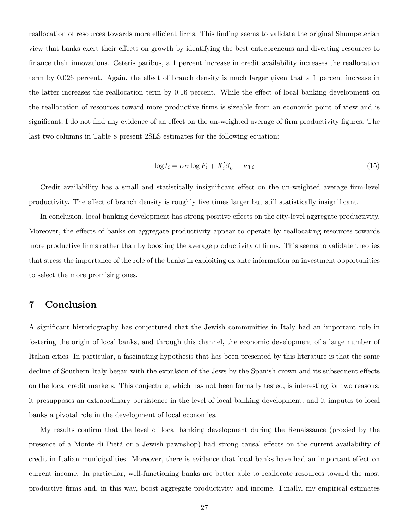reallocation of resources towards more efficient firms. This finding seems to validate the original Shumpeterian view that banks exert their effects on growth by identifying the best entrepreneurs and diverting resources to Önance their innovations. Ceteris paribus, a 1 percent increase in credit availability increases the reallocation term by 0.026 percent. Again, the effect of branch density is much larger given that a 1 percent increase in the latter increases the reallocation term by 0.16 percent. While the effect of local banking development on the reallocation of resources toward more productive firms is sizeable from an economic point of view and is significant, I do not find any evidence of an effect on the un-weighted average of firm productivity figures. The last two columns in Table 8 present 2SLS estimates for the following equation:

$$
\overline{\log t_i} = \alpha_U \log F_i + X_i' \beta_U + \nu_{3,i} \tag{15}
$$

Credit availability has a small and statistically insignificant effect on the un-weighted average firm-level productivity. The effect of branch density is roughly five times larger but still statistically insignificant.

In conclusion, local banking development has strong positive effects on the city-level aggregate productivity. Moreover, the effects of banks on aggregate productivity appear to operate by reallocating resources towards more productive firms rather than by boosting the average productivity of firms. This seems to validate theories that stress the importance of the role of the banks in exploiting ex ante information on investment opportunities to select the more promising ones.

### 7 Conclusion

A significant historiography has conjectured that the Jewish communities in Italy had an important role in fostering the origin of local banks, and through this channel, the economic development of a large number of Italian cities. In particular, a fascinating hypothesis that has been presented by this literature is that the same decline of Southern Italy began with the expulsion of the Jews by the Spanish crown and its subsequent effects on the local credit markets. This conjecture, which has not been formally tested, is interesting for two reasons: it presupposes an extraordinary persistence in the level of local banking development, and it imputes to local banks a pivotal role in the development of local economies.

My results confirm that the level of local banking development during the Renaissance (proxied by the presence of a Monte di Pietà or a Jewish pawnshop) had strong causal effects on the current availability of credit in Italian municipalities. Moreover, there is evidence that local banks have had an important effect on current income. In particular, well-functioning banks are better able to reallocate resources toward the most productive Örms and, in this way, boost aggregate productivity and income. Finally, my empirical estimates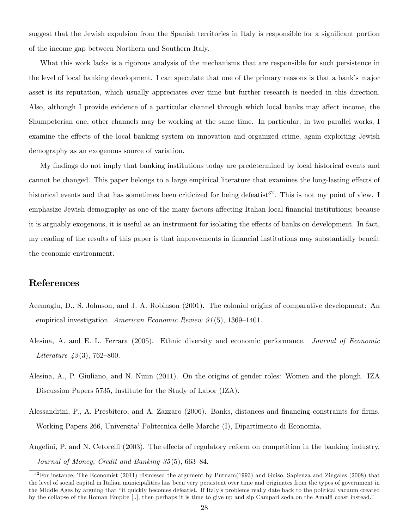suggest that the Jewish expulsion from the Spanish territories in Italy is responsible for a significant portion of the income gap between Northern and Southern Italy.

What this work lacks is a rigorous analysis of the mechanisms that are responsible for such persistence in the level of local banking development. I can speculate that one of the primary reasons is that a bankís major asset is its reputation, which usually appreciates over time but further research is needed in this direction. Also, although I provide evidence of a particular channel through which local banks may affect income, the Shumpeterian one, other channels may be working at the same time. In particular, in two parallel works, I examine the effects of the local banking system on innovation and organized crime, again exploiting Jewish demography as an exogenous source of variation.

My findings do not imply that banking institutions today are predetermined by local historical events and cannot be changed. This paper belongs to a large empirical literature that examines the long-lasting effects of historical events and that has sometimes been criticized for being defeatist<sup>32</sup>. This is not my point of view. I emphasize Jewish demography as one of the many factors affecting Italian local financial institutions; because it is arguably exogenous, it is useful as an instrument for isolating the effects of banks on development. In fact, my reading of the results of this paper is that improvements in financial institutions may substantially benefit the economic environment.

### References

- Acemoglu, D., S. Johnson, and J. A. Robinson (2001). The colonial origins of comparative development: An empirical investigation. American Economic Review  $91(5)$ , 1369–1401.
- Alesina, A. and E. L. Ferrara (2005). Ethnic diversity and economic performance. Journal of Economic Literature  $43(3)$ , 762–800.
- Alesina, A., P. Giuliano, and N. Nunn (2011). On the origins of gender roles: Women and the plough. IZA Discussion Papers 5735, Institute for the Study of Labor (IZA).
- Alessandrini, P., A. Presbitero, and A. Zazzaro (2006). Banks, distances and financing constraints for firms. Working Papers 266, Universita<sup>†</sup> Politecnica delle Marche (I), Dipartimento di Economia.
- Angelini, P. and N. Cetorelli (2003). The effects of regulatory reform on competition in the banking industry. Journal of Money, Credit and Banking  $35(5)$ , 663-84.

 $32$ For instance, The Economist (2011) dismissed the argument by Putnam(1993) and Guiso, Sapienza and Zingales (2008) that the level of social capital in Italian municipalities has been very persistent over time and originates from the types of government in the Middle Ages by arguing that "it quickly becomes defeatist. If Italy's problems really date back to the political vacuum created by the collapse of the Roman Empire [..], then perhaps it is time to give up and sip Campari soda on the Amalfi coast instead."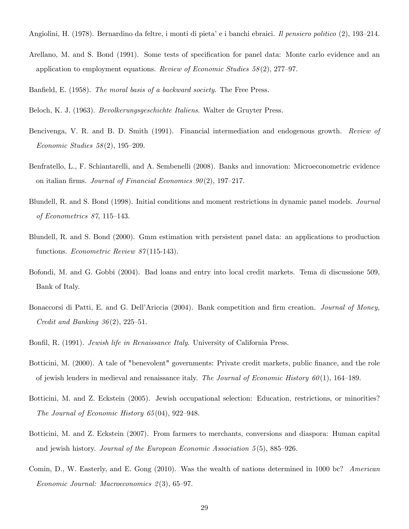Angiolini, H. (1978). Bernardino da feltre, i monti di pieta' e i banchi ebraici. *Il pensiero politico* (2), 193–214.

Arellano, M. and S. Bond (1991). Some tests of specification for panel data: Monte carlo evidence and an application to employment equations. Review of Economic Studies  $58(2)$ , 277-97.

Banfield, E. (1958). The moral basis of a backward society. The Free Press.

Beloch, K. J. (1963). Bevolkerungsgeschichte Italiens. Walter de Gruyter Press.

- Bencivenga, V. R. and B. D. Smith (1991). Financial intermediation and endogenous growth. Review of Economic Studies  $58(2)$ , 195–209.
- Benfratello, L., F. Schiantarelli, and A. Sembenelli (2008). Banks and innovation: Microeconometric evidence on italian firms. Journal of Financial Economics  $90(2)$ , 197–217.
- Blundell, R. and S. Bond (1998). Initial conditions and moment restrictions in dynamic panel models. Journal of Econometrics  $87, 115-143.$
- Blundell, R. and S. Bond (2000). Gmm estimation with persistent panel data: an applications to production functions. *Econometric Review 87*(115-143).
- Bofondi, M. and G. Gobbi (2004). Bad loans and entry into local credit markets. Tema di discussione 509, Bank of Italy.
- Bonaccorsi di Patti, E. and G. Dell'Ariccia (2004). Bank competition and firm creation. Journal of Money, Credit and Banking  $36(2)$ ,  $225-51$ .
- Bonfil, R. (1991). *Jewish life in Renaissance Italy*. University of California Press.
- Botticini, M. (2000). A tale of "benevolent" governments: Private credit markets, public finance, and the role of jewish lenders in medieval and renaissance italy. The Journal of Economic History  $60(1)$ , 164–189.
- Botticini, M. and Z. Eckstein (2005). Jewish occupational selection: Education, restrictions, or minorities? The Journal of Economic History  $65(04)$ , 922-948.
- Botticini, M. and Z. Eckstein (2007). From farmers to merchants, conversions and diaspora: Human capital and jewish history. Journal of the European Economic Association  $5(5)$ , 885–926.
- Comin, D., W. Easterly, and E. Gong (2010). Was the wealth of nations determined in 1000 bc? American Economic Journal: Macroeconomics  $2(3)$ , 65-97.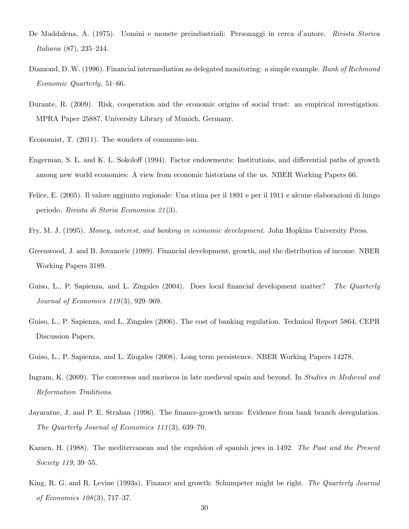- De Maddalena, A. (1975). Uomini e monete preindustriali: Personaggi in cerca d'autore. *Rivista Storica* Italiana  $(87)$ , 235-244.
- Diamond, D. W. (1996). Financial intermediation as delegated monitoring: a simple example. Bank of Richmond  $Economic$  Quarterly, 51–66.
- Durante, R. (2009). Risk, cooperation and the economic origins of social trust: an empirical investigation. MPRA Paper 25887, University Library of Munich, Germany.
- Economist, T. (2011). The wonders of commune-ism.
- Engerman, S. L. and K. L. Sokoloff (1994). Factor endowments: Institutions, and differential paths of growth among new world economies: A view from economic historians of the us. NBER Working Papers 66.
- Felice, E. (2005). Il valore aggiunto regionale: Una stima per il 1891 e per il 1911 e alcune elaborazioni di lungo periodo. Rivista di Storia Economica 21 (3).
- Fry, M. J. (1995). Money, interest, and banking in economic development. John Hopkins University Press.
- Greenwood, J. and B. Jovanovic (1989). Financial development, growth, and the distribution of income. NBER Working Papers 3189.
- Guiso, L., P. Sapienza, and L. Zingales (2004). Does local financial development matter? The Quarterly Journal of Economics  $119(3)$ , 929–969.
- Guiso, L., P. Sapienza, and L. Zingales (2006). The cost of banking regulation. Technical Report 5864, CEPR Discussion Papers.
- Guiso, L., P. Sapienza, and L. Zingales (2008). Long term persistence. NBER Working Papers 14278.
- Ingram, K. (2009). The conversos and moriscos in late medieval spain and beyond. In Studies in Medieval and Reformation Traditions.
- Jayaratne, J. and P. E. Strahan (1996). The finance-growth nexus: Evidence from bank branch deregulation. The Quarterly Journal of Economics  $111(3)$ , 639–70.
- Kamen, H. (1988). The mediterranean and the expulsion of spanish jews in 1492. The Past and the Present Society  $119, 39-55$ .
- King, R. G. and R. Levine (1993a). Finance and growth: Schumpeter might be right. The Quarterly Journal of Economics  $108(3)$ , 717–37.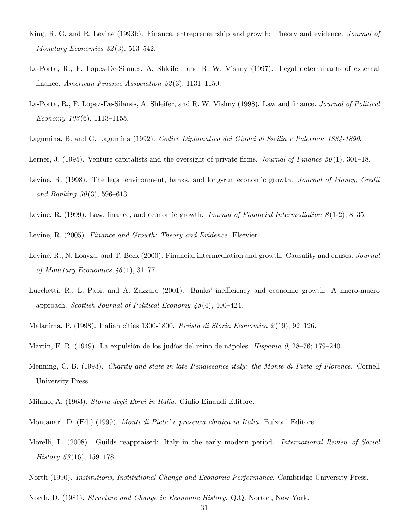- King, R. G. and R. Levine (1993b). Finance, entrepreneurship and growth: Theory and evidence. Journal of Monetary Economics  $32(3)$ , 513-542.
- La-Porta, R., F. Lopez-De-Silanes, A. Shleifer, and R. W. Vishny (1997). Legal determinants of external finance. American Finance Association 52(3), 1131-1150.
- La-Porta, R., F. Lopez-De-Silanes, A. Shleifer, and R. W. Vishny (1998). Law and finance. *Journal of Political* Economy  $106(6)$ , 1113-1155.
- Lagumina, B. and G. Lagumina (1992). Codice Diplomatico dei Giudei di Sicilia e Palermo: 1884-1890.
- Lerner, J. (1995). Venture capitalists and the oversight of private firms. Journal of Finance  $50(1)$ , 301–18.
- Levine, R. (1998). The legal environment, banks, and long-run economic growth. *Journal of Money, Credit* and Banking  $30(3)$ , 596–613.
- Levine, R. (1999). Law, finance, and economic growth. *Journal of Financial Intermediation*  $8(1-2)$ , 8–35.

Levine, R. (2005). Finance and Growth: Theory and Evidence. Elsevier.

- Levine, R., N. Loayza, and T. Beck (2000). Financial intermediation and growth: Causality and causes. Journal of Monetary Economics  $46(1), 31-77.$
- Lucchetti, R., L. Papi, and A. Zazzaro (2001). Banks' inefficiency and economic growth: A micro-macro approach. Scottish Journal of Political Economy  $48(4)$ , 400–424.
- Malanima, P. (1998). Italian cities 1300-1800. Rivista di Storia Economica 2(19), 92-126.
- Martin, F. R. (1949). La expulsión de los judíos del reino de nápoles. *Hispania 9*, 28–76; 179–240.
- Menning, C. B. (1993). Charity and state in late Renaissance italy: the Monte di Pieta of Florence. Cornell University Press.
- Milano, A. (1963). Storia degli Ebrei in Italia. Giulio Einaudi Editore.
- Montanari, D. (Ed.) (1999). *Monti di Pieta'e presenza ebraica in Italia*. Bulzoni Editore.
- Morelli, L. (2008). Guilds reappraised: Italy in the early modern period. *International Review of Social* History 53(16), 159–178.
- North (1990). Institutions, Institutional Change and Economic Performance. Cambridge University Press.
- North, D. (1981). Structure and Change in Economic History. Q.Q. Norton, New York.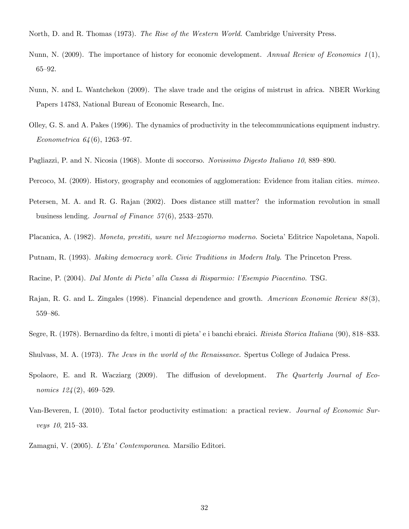- North, D. and R. Thomas (1973). The Rise of the Western World. Cambridge University Press.
- Nunn, N. (2009). The importance of history for economic development. Annual Review of Economics  $1(1)$ ,  $65 - 92.$
- Nunn, N. and L. Wantchekon (2009). The slave trade and the origins of mistrust in africa. NBER Working Papers 14783, National Bureau of Economic Research, Inc.
- Olley, G. S. and A. Pakes (1996). The dynamics of productivity in the telecommunications equipment industry. Econometrica  $64(6)$ , 1263–97.
- Pagliazzi, P. and N. Nicosia (1968). Monte di soccorso. Novissimo Digesto Italiano 10, 889–890.
- Percoco, M. (2009). History, geography and economies of agglomeration: Evidence from italian cities. *mimeo*.
- Petersen, M. A. and R. G. Rajan (2002). Does distance still matter? the information revolution in small business lending. Journal of Finance  $57(6)$ , 2533–2570.
- Placanica, A. (1982). *Moneta, prestiti, usure nel Mezzogiorno moderno*. Societa<sup>7</sup> Editrice Napoletana, Napoli.
- Putnam, R. (1993). *Making democracy work. Civic Traditions in Modern Italy*. The Princeton Press.

Racine, P. (2004). Dal Monte di Pieta' alla Cassa di Risparmio: l'Esempio Piacentino. TSG.

- Rajan, R. G. and L. Zingales (1998). Financial dependence and growth. American Economic Review 88(3), 559-86.
- Segre, R. (1978). Bernardino da feltre, i monti di pieta' e i banchi ebraici. *Rivista Storica Italiana* (90), 818–833.
- Shulvass, M. A. (1973). The Jews in the world of the Renaissance. Spertus College of Judaica Press.
- Spolaore, E. and R. Wacziarg  $(2009)$ . The diffusion of development. The Quarterly Journal of Economics  $124(2)$ , 469–529.
- Van-Beveren, I. (2010). Total factor productivity estimation: a practical review. Journal of Economic Sur $veys\ 10, 215-33.$
- Zamagni, V. (2005). L'Eta<sup>,</sup> Contemporanea. Marsilio Editori.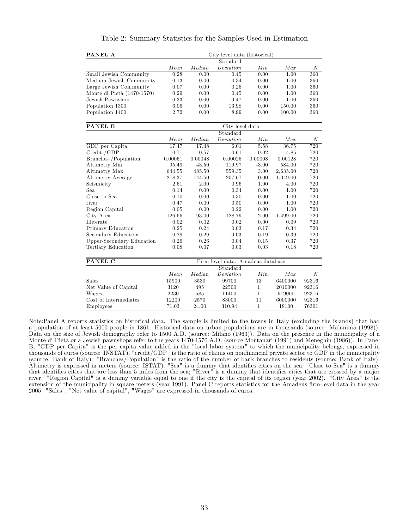| Table 2: Summary Statistics for the Samples Used in Estimation |  |  |  |  |
|----------------------------------------------------------------|--|--|--|--|
|----------------------------------------------------------------|--|--|--|--|

| PANEL A                    | City level data (historical) |        |           |      |          |     |  |  |  |
|----------------------------|------------------------------|--------|-----------|------|----------|-----|--|--|--|
|                            | Standard                     |        |           |      |          |     |  |  |  |
|                            | Mean                         | Median | Deviation | Min  | $_{Max}$ | N   |  |  |  |
| Small Jewish Community     | 0.28                         | 0.00   | 0.45      | 0.00 | 1.00     | 360 |  |  |  |
| Medium Jewish Community    | 0.13                         | 0.00   | 0.34      | 0.00 | 1.00     | 360 |  |  |  |
| Large Jewish Community     | 0.07                         | 0.00   | 0.25      | 0.00 | 1.00     | 360 |  |  |  |
| Monte di Pietà (1470-1570) | 0.29                         | 0.00   | 0.45      | 0.00 | 1.00     | 360 |  |  |  |
| Jewish Pawnshop            | 0.33                         | 0.00   | 0.47      | 0.00 | 1.00     | 360 |  |  |  |
| Population 1300            | 6.06                         | 0.00   | 13.98     | 0.00 | 150.00   | 360 |  |  |  |
| Population 1400            | 2.72                         | 0.00   | 8.99      | 0.00 | 100.00   | 360 |  |  |  |

| PANEL B                   | City level data |         |                                   |              |          |                  |  |  |  |  |
|---------------------------|-----------------|---------|-----------------------------------|--------------|----------|------------------|--|--|--|--|
|                           |                 |         | Standard                          |              |          |                  |  |  |  |  |
|                           | Mean            | Median  | Deviation                         | Min          | Max      | $\boldsymbol{N}$ |  |  |  |  |
| GDP per Capita            | 17.47           | 17.48   | 6.01                              | 5.58         | 36.75    | 720              |  |  |  |  |
| $C_{\text{redit}}$ /GDP   | 0.71            | 0.57    | 0.61                              | 0.02         | 4.85     | 720              |  |  |  |  |
| Branches / Population     | 0.00051         | 0.00048 | 0.00025                           | 0.00008      | 0.00128  | 720              |  |  |  |  |
| Altimetry Min             | 95.49           | 43.50   | 119.97                            | $-3.00$      | 584.00   | 720              |  |  |  |  |
| Altimetry Max             | 644.55          | 485.50  | 559.35                            | 3.00         | 2,635.00 | 720              |  |  |  |  |
| Altimetry Average         | 218.37          | 144.50  | 207.67                            | 0.00         | 1,049.00 | 720              |  |  |  |  |
| Seismicity                | 2.61            | 2.00    | 0.96                              | 1.00         | 4.00     | 720              |  |  |  |  |
| Sea                       | 0.14            | 0.00    | 0.34                              | 0.00         | 1.00     | 720              |  |  |  |  |
| Close to Sea              | 0.10            | 0.00    | 0.30                              | 0.00         | 1.00     | 720              |  |  |  |  |
| river                     | 0.47            | 0.00    | 0.50                              | 0.00         | 1.00     | 720              |  |  |  |  |
| Region Capital            | 0.05            | 0.00    | 0.22                              | 0.00         | 1.00     | 720              |  |  |  |  |
| City Area                 | 126.66          | 93.00   | 128.79                            | 2.00         | 1,499.00 | 720              |  |  |  |  |
| Illiterate                | 0.02            | 0.02    | 0.02                              | 0.00         | 0.09     | 720              |  |  |  |  |
| Primary Education         | 0.25            | 0.24    | 0.03                              | 0.17         | 0.34     | 720              |  |  |  |  |
| Secondary Education       | 0.29            | 0.29    | 0.03                              | 0.19         | 0.39     | 720              |  |  |  |  |
| Upper-Secondary Education | 0.26            | 0.26    | 0.04                              | 0.15         | 0.37     | 720              |  |  |  |  |
| Tertiary Education        | 0.08            | 0.07    | 0.03                              | 0.03         | 0.18     | 720              |  |  |  |  |
| PANEL C                   |                 |         | Firm level data: Amadeus database |              |          |                  |  |  |  |  |
|                           |                 |         | Standard                          |              |          |                  |  |  |  |  |
|                           | Mean            | Median  | Deviation                         | Min          | Max      | $\boldsymbol{N}$ |  |  |  |  |
| <b>Sales</b>              | 15900           | 3530    | 99700                             | 13           | 6400000  | 92316            |  |  |  |  |
| Net Value of Capital      | 3120            | 495     | 22500                             | $\mathbf{1}$ | 2010000  | 92316            |  |  |  |  |
| Wages                     | 2230            | 585     | 11400                             | 1            | 619000   | 92316            |  |  |  |  |

Wages 2230 585 11400 1 619000 92316  $\begin{tabular}{lcccccc} Cost of Intermediate & & & & 12200 & & 2570 & & 83000 & & 11 & & 6000000 & 92316 \\ Employes & & & & 71.03 & & 24.00 & & 310.94 & & 1 & & 18100 & 76301 \end{tabular}$ 

Employees 71.03 24.00 310.94 1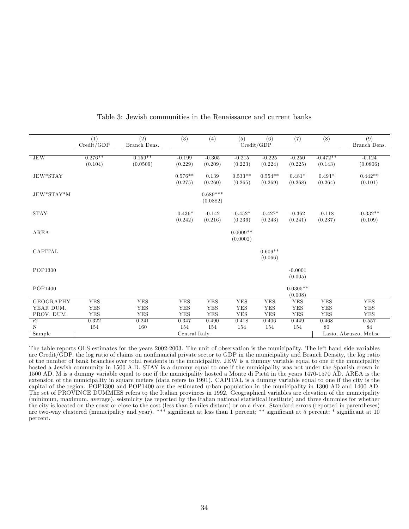|                  | (1)<br>Credit/GDP | $\overline{(2)}$<br>Branch Dens. | $\overline{(3)}$     | $\overline{(4)}$       | $\overline{(5)}$       | $\overline{(6)}$<br>Credit/GDP | $\overline{(7)}$      | (8)                 | $\overline{(9)}$<br>Branch Dens. |
|------------------|-------------------|----------------------------------|----------------------|------------------------|------------------------|--------------------------------|-----------------------|---------------------|----------------------------------|
|                  |                   |                                  |                      |                        |                        |                                |                       |                     |                                  |
| $\rm{JEW}$       | $0.276**$         | $0.159**$                        | $-0.199$             | $-0.305$               | $-0.215$               | $-0.225$                       | $-0.250$              | $-0.472**$          | $-0.124$                         |
|                  | (0.104)           | (0.0509)                         | (0.229)              | (0.209)                | (0.223)                | (0.224)                        | (0.225)               | (0.143)             | (0.0806)                         |
| JEW*STAY         |                   |                                  | $0.576**$            | 0.139                  | $0.533**$              | $0.554**$                      | $0.481*$              | $0.494*$            | $0.442**$                        |
|                  |                   |                                  | (0.275)              | (0.260)                | (0.265)                | (0.269)                        | (0.268)               | (0.264)             | (0.101)                          |
| JEW*STAY*M       |                   |                                  |                      | $0.689***$<br>(0.0882) |                        |                                |                       |                     |                                  |
| <b>STAY</b>      |                   |                                  | $-0.436*$<br>(0.242) | $-0.142$<br>(0.216)    | $-0.452*$<br>(0.236)   | $-0.427*$<br>(0.243)           | $-0.362$<br>(0.241)   | $-0.118$<br>(0.237) | $-0.332**$<br>(0.109)            |
| AREA             |                   |                                  |                      |                        | $0.0009**$<br>(0.0002) |                                |                       |                     |                                  |
| CAPITAL          |                   |                                  |                      |                        |                        | $0.609**$<br>(0.066)           |                       |                     |                                  |
| POP1300          |                   |                                  |                      |                        |                        |                                | $-0.0001$<br>(0.005)  |                     |                                  |
| POP1400          |                   |                                  |                      |                        |                        |                                | $0.0305**$<br>(0.008) |                     |                                  |
| <b>GEOGRAPHY</b> | <b>YES</b>        | <b>YES</b>                       | <b>YES</b>           | <b>YES</b>             | <b>YES</b>             | <b>YES</b>                     | <b>YES</b>            | <b>YES</b>          | <b>YES</b>                       |
| YEAR DUM.        | YES               | YES                              | <b>YES</b>           | <b>YES</b>             | YES                    | <b>YES</b>                     | <b>YES</b>            | <b>YES</b>          | <b>YES</b>                       |
| PROV. DUM.       | <b>YES</b>        | <b>YES</b>                       | <b>YES</b>           | <b>YES</b>             | <b>YES</b>             | <b>YES</b>                     | <b>YES</b>            | YES                 | <b>YES</b>                       |
| r2               | 0.322             | 0.241                            | 0.347                | 0.490                  | 0.418                  | 0.406                          | 0.449                 | 0.468               | 0.557                            |
| $\mathbf N$      | 154               | 160                              | 154                  | 154                    | 154                    | 154                            | 154                   | 80                  | 84                               |
| Sample           |                   |                                  | Central Italy        |                        |                        |                                |                       |                     | Lazio, Abruzzo, Molise           |

Table 3: Jewish communities in the Renaissance and current banks

The table reports OLS estimates for the years 2002-2003. The unit of observation is the municipality. The left hand side variables are Credit/GDP, the log ratio of claims on nonfinancial private sector to GDP in the municipality and Branch Density, the log ratio of the number of bank branches over total residents in the municipality. JEW is a dummy variable equal to one if the municipality hosted a Jewish community in 1500 A.D. STAY is a dummy equal to one if the municipality was not under the Spanish crown in 1500 AD. M is a dummy variable equal to one if the municipality hosted a Monte di Pietà in the years 1470-1570 AD. AREA is the extension of the municipality in square meters (data refers to 1991). CAPITAL is a dummy variable equal to one if the city is the capital of the region. POP1300 and POP1400 are the estimated urban population in the municipality in 1300 AD and 1400 AD. The set of PROVINCE DUMMIES refers to the Italian provinces in 1992. Geographical variables are elevation of the municipality (minimum, maximum, average), seismicity (as reported by the Italian national statistical institute) and three dummies for whether the city is located on the coast or close to the cost (less than 5 miles distant) or on a river. Standard errors (reported in parentheses) are two-way clustered (municipality and year). \*\*\* significant at less than 1 percent; \*\* significant at 5 percent; \* significant at 10 percent.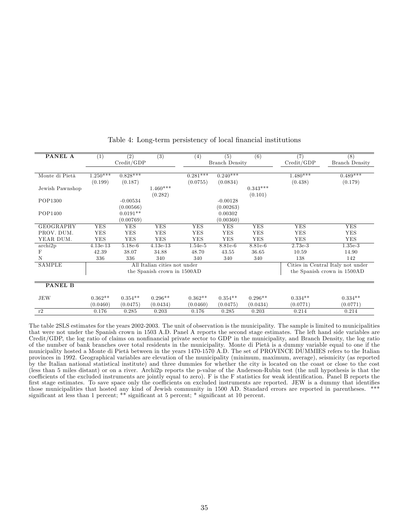| PANEL A                  | (1)        | (2)        | (3)                          | (4)                   | (5)        | (6)        | (7)        | (8)                               |
|--------------------------|------------|------------|------------------------------|-----------------------|------------|------------|------------|-----------------------------------|
|                          |            | Credit/GDP |                              | <b>Branch Density</b> |            |            | Credit/GDP | <b>Branch Density</b>             |
|                          |            |            |                              |                       |            |            |            |                                   |
| Monte di Pietà           | $1.250***$ | $0.828***$ |                              | $0.281***$            | $0.240***$ |            | $1.480***$ | $0.489***$                        |
|                          | (0.199)    | (0.187)    |                              | (0.0755)              | (0.0834)   |            | (0.438)    | (0.179)                           |
| Jewish Pawnshop          |            |            | $1.460***$                   |                       |            | $0.343***$ |            |                                   |
|                          |            |            | (0.282)                      |                       |            | (0.101)    |            |                                   |
| POP1300                  |            | $-0.00534$ |                              |                       | $-0.00128$ |            |            |                                   |
|                          |            | (0.00566)  |                              |                       | (0.00263)  |            |            |                                   |
| POP1400                  |            | $0.0191**$ |                              |                       | 0.00302    |            |            |                                   |
|                          |            | (0.00769)  |                              |                       | (0.00360)  |            |            |                                   |
| <b>GEOGRAPHY</b>         | <b>YES</b> | <b>YES</b> | <b>YES</b>                   | <b>YES</b>            | <b>YES</b> | <b>YES</b> | <b>YES</b> | <b>YES</b>                        |
| PROV. DUM.               | <b>YES</b> | <b>YES</b> | <b>YES</b>                   | <b>YES</b>            | <b>YES</b> | <b>YES</b> | <b>YES</b> | <b>YES</b>                        |
| YEAR DUM.                | <b>YES</b> | YES        | YES                          | <b>YES</b>            | <b>YES</b> | <b>YES</b> | <b>YES</b> | <b>YES</b>                        |
| $\operatorname{archi2p}$ | $4.13e-13$ | $5.18e-6$  | $4.13e-13$                   | 1.54e-5               | 8.81e-6    | 8.81e-6    | 2.73e-3    | $1.35e-3$                         |
| F                        | 42.39      | 38.07      | 34.88                        | 48.70                 | 43.55      | 36.65      | 10.59      | 14.90                             |
| N                        | 336        | 336        | 340                          | 340                   | 340        | 340        | 138        | 142                               |
| SAMPLE                   |            |            | All Italian cities not under |                       |            |            |            | Cities in Central Italy not under |
|                          |            |            | the Spanish crown in 1500AD  |                       |            |            |            | the Spanish crown in 1500AD       |
|                          |            |            |                              |                       |            |            |            |                                   |
| <b>PANEL B</b>           |            |            |                              |                       |            |            |            |                                   |
|                          |            |            |                              |                       |            |            |            |                                   |
| <b>JEW</b>               | $0.362**$  | $0.354**$  | $0.296**$                    | $0.362**$             | $0.354**$  | $0.296**$  | $0.334**$  | $0.334**$                         |
|                          | (0.0460)   | (0.0475)   | (0.0434)                     | (0.0460)              | (0.0475)   | (0.0434)   | (0.0771)   | (0.0771)                          |
| r2                       | 0.176      | 0.285      | 0.203                        | 0.176                 | 0.285      | 0.203      | 0.214      | 0.214                             |

Table 4: Long-term persistency of local financial institutions

The table 2SLS estimates for the years 2002-2003. The unit of observation is the municipality. The sample is limited to municipalities that were not under the Spanish crown in 1503 A.D. Panel A reports the second stage estimates. The left hand side variables are Credit/GDP, the log ratio of claims on nonfinancial private sector to GDP in the municipality, and Branch Density, the log ratio of the number of bank branches over total residents in the municipality. Monte di Pietà is a dummy variable equal to one if the municipality hosted a Monte di Pietà between in the years 1470-1570 A.D. The set of PROVINCE DUMMIES refers to the Italian provinces in 1992. Geographical variables are elevation of the municipality (minimum, maximum, average), seismicity (as reported by the Italian national statistical institute) and three dummies for whether the city is located on the coast or close to the cost (less than 5 miles distant) or on a river. Archi2p reports the p-value of the Anderson-Rubin test (the null hypothesis is that the coefficients of the excluded instruments are jointly equal to zero). F is the F statistics for weak identification. Panel B reports the first stage estimates. To save space only the coefficients on excluded instruments are reported. JEW is a dummy that identifies those municipalities that hosted any kind of Jewish community in 1500 AD. Standard errors are reported in parentheses. \*\*\* significant at less than 1 percent; \*\* significant at 5 percent; \* significant at 10 percent.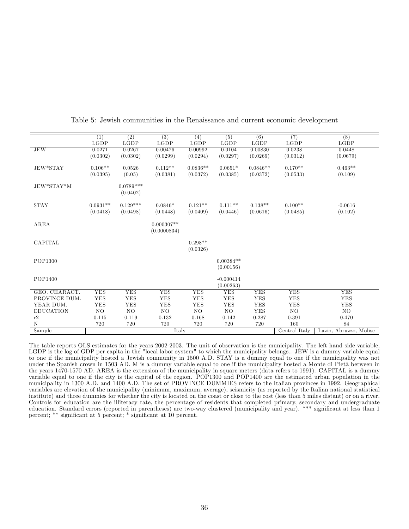|                  | (1)           | $\overline{(2)}$ | $\overline{(3)}$ | (4)         | $\overline{(5)}$ | (6)         | (7)           | $\overline{(8)}$       |
|------------------|---------------|------------------|------------------|-------------|------------------|-------------|---------------|------------------------|
|                  | $_{\rm LGDP}$ | LGDP             | LGDP             | LGDP        | LGDP             | LGDP        | LGDP          | LGDP                   |
| <b>JEW</b>       | 0.0271        | 0.0267           | 0.00476          | 0.00992     | 0.0104           | 0.00830     | 0.0238        | 0.0448                 |
|                  | (0.0302)      | (0.0302)         | (0.0299)         | (0.0294)    | (0.0297)         | (0.0269)    | (0.0312)      | (0.0679)               |
|                  |               |                  |                  |             |                  |             |               |                        |
| JEW*STAY         | $0.106**$     | 0.0526           | $0.112**$        | $0.0836**$  | $0.0651*$        | $0.0846**$  | $0.170**$     | $0.463**$              |
|                  | (0.0395)      | (0.05)           | (0.0381)         | (0.0372)    | (0.0385)         | (0.0372)    | (0.0533)      | (0.109)                |
|                  |               |                  |                  |             |                  |             |               |                        |
| JEW*STAY*M       |               | $0.0789***$      |                  |             |                  |             |               |                        |
|                  |               | (0.0402)         |                  |             |                  |             |               |                        |
|                  |               |                  |                  |             |                  |             |               |                        |
| <b>STAY</b>      | $0.0931**$    | $0.129***$       | $0.0846*$        | $0.121**$   | $0.111**$        | $0.138**$   | $0.100**$     | $-0.0616$              |
|                  | (0.0418)      | (0.0498)         | (0.0448)         | (0.0409)    | (0.0446)         | (0.0616)    | (0.0485)      | (0.102)                |
|                  |               |                  |                  |             |                  |             |               |                        |
| AREA             |               |                  | $0.000307**$     |             |                  |             |               |                        |
|                  |               |                  | (0.0000834)      |             |                  |             |               |                        |
|                  |               |                  |                  |             |                  |             |               |                        |
| CAPITAL          |               |                  |                  | $0.298**$   |                  |             |               |                        |
|                  |               |                  |                  | (0.0326)    |                  |             |               |                        |
|                  |               |                  |                  |             |                  |             |               |                        |
| POP1300          |               |                  |                  |             | $0.00384**$      |             |               |                        |
|                  |               |                  |                  |             | (0.00156)        |             |               |                        |
|                  |               |                  |                  |             |                  |             |               |                        |
| POP1400          |               |                  |                  |             | $-0.000414$      |             |               |                        |
|                  |               |                  |                  |             | (0.00263)        |             |               |                        |
| GEO. CHARACT.    | <b>YES</b>    | <b>YES</b>       | <b>YES</b>       | <b>YES</b>  | <b>YES</b>       | <b>YES</b>  | <b>YES</b>    | <b>YES</b>             |
| PROVINCE DUM.    | ${\rm YES}$   | ${\rm YES}$      | <b>YES</b>       | ${\rm YES}$ | ${\rm YES}$      | ${\rm YES}$ | <b>YES</b>    | ${\rm YES}$            |
| YEAR DUM.        | <b>YES</b>    | <b>YES</b>       | YES              | <b>YES</b>  | <b>YES</b>       | <b>YES</b>  | YES           | <b>YES</b>             |
| <b>EDUCATION</b> | NO            | NO               | NO.              | NO.         | NO.              | YES         | NO.           | N <sub>O</sub>         |
| r2               | 0.115         | 0.119            | 0.132            | 0.168       | 0.142            | 0.287       | 0.391         | 0.470                  |
| $\mathbf N$      | 720           | 720              | 720              | 720         | 720              | 720         | 160           | 84                     |
| Sample           |               |                  | Italy            |             |                  |             | Central Italy | Lazio, Abruzzo, Molise |

Table 5: Jewish communities in the Renaissance and current economic development

The table reports OLS estimates for the years 2002-2003. The unit of observation is the municipality. The left hand side variable, LGDP is the log of GDP per capita in the "local labor system" to which the municipality belongs.. JEW is a dummy variable equal to one if the municipality hosted a Jewish community in 1500 A.D. STAY is a dummy equal to one if the municipality was not under the Spanish crown in 1503 AD. M is a dummy variable equal to one if the municipality hosted a Monte di Pietà between in the years 1470-1570 AD. AREA is the extension of the municipality in square meters (data refers to 1991). CAPITAL is a dummy variable equal to one if the city is the capital of the region. POP1300 and POP1400 are the estimated urban population in the municipality in 1300 A.D. and 1400 A.D. The set of PROVINCE DUMMIES refers to the Italian provinces in 1992. Geographical variables are elevation of the municipality (minimum, maximum, average), seismicity (as reported by the Italian national statistical institute) and three dummies for whether the city is located on the coast or close to the cost (less than 5 miles distant) or on a river. Controls for education are the illiteracy rate, the percentage of residents that completed primary, secondary and undergraduate education. Standard errors (reported in parentheses) are two-way clustered (municipality and year). \*\*\* significant at less than 1 percent; \*\* significant at 5 percent; \* significant at 10 percent.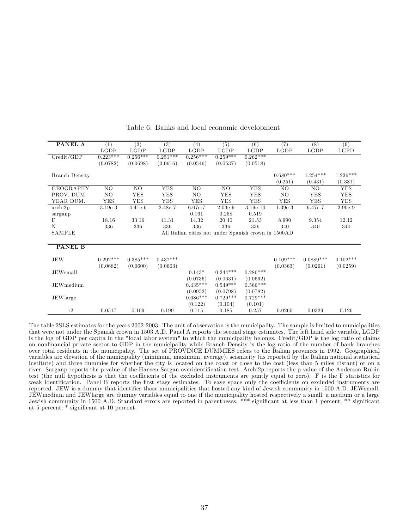| <b>PANEL A</b>           | (1)            | $\overline{(2)}$ | (3)        | (4)        | (5)        | (6)                                                  | $\overline{(7)}$ | (8)         | (9)        |
|--------------------------|----------------|------------------|------------|------------|------------|------------------------------------------------------|------------------|-------------|------------|
|                          | LGDP           | LGDP             | LGDP       | LGDP       | LGDP       | LGDP                                                 | LGDP             | LGDP        | LGPD       |
| Credit/GDP               | $0.223***$     | $0.256***$       | $0.251***$ | $0.256***$ | $0.259***$ | $0.262***$                                           |                  |             |            |
|                          | (0.0782)       | (0.0698)         | (0.0616)   | (0.0546)   | (0.0537)   | (0.0518)                                             |                  |             |            |
| <b>Branch Density</b>    |                |                  |            |            |            |                                                      | $0.680***$       | $1.254***$  | $1.236***$ |
|                          |                |                  |            |            |            |                                                      | (0.251)          | (0.431)     | (0.381)    |
| GEOGRAPHY                | NO             | NO               | <b>YES</b> | NO.        | NO         | <b>YES</b>                                           | NO.              | NO.         | <b>YES</b> |
| PROV. DUM.               | N <sub>O</sub> | <b>YES</b>       | <b>YES</b> | NO.        | YES        | YES                                                  | NO.              | YES         | <b>YES</b> |
| YEAR DUM.                | <b>YES</b>     | <b>YES</b>       | <b>YES</b> | <b>YES</b> | <b>YES</b> | <b>YES</b>                                           | <b>YES</b>       | <b>YES</b>  | <b>YES</b> |
| $\operatorname{archi2p}$ | $3.19e-3$      | $4.41e-6$        | 2.48e-7    | 6.07e-7    | $2.03e-9$  | $3.19e-10$                                           | $1.39e-3$        | 6.47e-7     | $2.90e-9$  |
| sarganp                  |                |                  |            | 0.161      | 0.258      | 0.519                                                |                  |             |            |
| F                        | 18.16          | 33.16            | 41.31      | 14.32      | 20.40      | 21.53                                                | 8.990            | 9.354       | 12.12      |
| $\mathbf N$              | 336            | 336              | 336        | 336        | 336        | 336                                                  | 340              | 340         | 340        |
| SAMPLE                   |                |                  |            |            |            | All Italian cities not under Spanish crown in 1500AD |                  |             |            |
|                          |                |                  |            |            |            |                                                      |                  |             |            |
| <b>PANEL B</b>           |                |                  |            |            |            |                                                      |                  |             |            |
| JEW                      | $0.292***$     | $0.385***$       | $0.437***$ |            |            |                                                      | $0.109***$       | $0.0889***$ | $0.102***$ |
|                          | (0.0682)       | (0.0600)         | (0.0603)   |            |            |                                                      | (0.0363)         | (0.0261)    | (0.0259)   |
| <b>JEWsmall</b>          |                |                  |            | $0.143*$   | $0.244***$ | $0.286***$                                           |                  |             |            |
|                          |                |                  |            | (0.0736)   | (0.0631)   | (0.0662)                                             |                  |             |            |
| <b>JEW</b> medium        |                |                  |            | $0.435***$ | $0.549***$ | $0.566***$                                           |                  |             |            |
|                          |                |                  |            | (0.0952)   | (0.0798)   | (0.0782)                                             |                  |             |            |
| JEWlarge                 |                |                  |            | $0.686***$ | $0.729***$ | $0.729***$                                           |                  |             |            |
|                          |                |                  |            | (0.122)    | (0.104)    | (0.101)                                              |                  |             |            |
| r2                       | 0.0517         | 0.109            | 0.199      | 0.115      | 0.185      | 0.257                                                | 0.0260           | 0.0329      | 0.126      |

Table 6: Banks and local economic development

The table 2SLS estimates for the years 2002-2003. The unit of observation is the municipality. The sample is limited to municipalities that were not under the Spanish crown in 1503 A.D. Panel A reports the second stage estimates. The left hand side variable, LGDP is the log of GDP per capita in the "local labor system" to which the municipality belongs. Credit/GDP is the log ratio of claims on nonfinancial private sector to GDP in the municipality while Branch Density is the log ratio of the number of bank branches over total residents in the municipality. The set of PROVINCE DUMMIES refers to the Italian provinces in 1992. Geographical variables are elevation of the municipality (minimum, maximum, average), seismicity (as reported by the Italian national statistical institute) and three dummies for whether the city is located on the coast or close to the cost (less than 5 miles distant) or on a river. Sarganp reports the p-value of the Hansen-Sargan overidentification test. Archi2p reports the p-value of the Anderson-Rubin test (the null hypothesis is that the coefficients of the excluded instruments are jointly equal to zero). F is the F statistics for weak identification. Panel B reports the first stage estimates. To save space only the coefficients on excluded instruments are reported. JEW is a dummy that identifies those municipalities that hosted any kind of Jewish community in 1500 A.D. JEWsmall, JEWmedium and JEWlarge are dummy variables equal to one if the municipality hosted respectively a small, a medium or a large Jewish community in 1500 A.D. Standard errors are reported in parentheses. \*\*\* significant at less than 1 percent; \*\* significant at 5 percent; \* significant at 10 percent.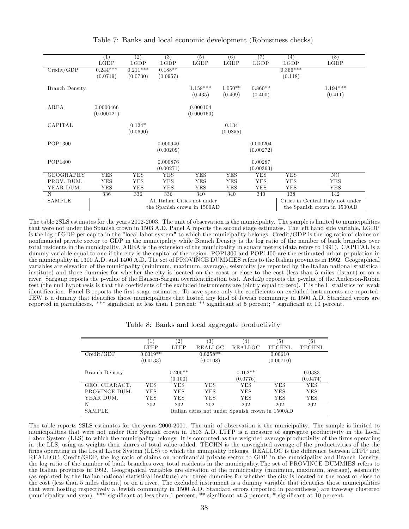|                       | (1)        | $\overline{(2)}$ | $\overline{(3)}$ | $\overline{(5)}$                                            | (6)                               | (7)        | (4)        | $\overline{(8)}$            |
|-----------------------|------------|------------------|------------------|-------------------------------------------------------------|-----------------------------------|------------|------------|-----------------------------|
|                       | LGDP       | LGDP             | LGDP             | LGDP                                                        | LGDP                              | LGDP       | LGDP       | LGDP                        |
| Credit/GDP            | $0.244***$ | $0.211***$       | $0.188**$        |                                                             |                                   |            | $0.366***$ |                             |
|                       | (0.0719)   | (0.0730)         | (0.0957)         |                                                             |                                   |            | (0.118)    |                             |
| <b>Branch Density</b> |            |                  |                  | $1.158***$                                                  | $1.050**$                         | $0.860**$  |            | $1.194***$                  |
|                       |            |                  |                  | (0.435)                                                     | (0.409)                           | (0.400)    |            | (0.411)                     |
| AREA                  | 0.0000466  |                  |                  | 0.000104                                                    |                                   |            |            |                             |
|                       | (0.000121) |                  |                  | (0.000160)                                                  |                                   |            |            |                             |
| CAPITAL               |            | $0.124*$         |                  |                                                             | 0.134                             |            |            |                             |
|                       |            | (0.0690)         |                  |                                                             | (0.0855)                          |            |            |                             |
| POP1300               |            |                  | 0.000940         |                                                             |                                   | 0.000204   |            |                             |
|                       |            |                  | (0.00209)        |                                                             |                                   | (0.00272)  |            |                             |
| POP1400               |            |                  | 0.000876         |                                                             |                                   | 0.00287    |            |                             |
|                       |            |                  | (0.00271)        |                                                             |                                   | (0.00363)  |            |                             |
| <b>GEOGRAPHY</b>      | <b>YES</b> | YES              | <b>YES</b>       | <b>YES</b>                                                  | <b>YES</b>                        | <b>YES</b> | <b>YES</b> | NO                          |
| PROV. DUM.            | YES        | YES              | <b>YES</b>       | <b>YES</b>                                                  | YES                               | YES        | <b>YES</b> | YES                         |
| YEAR DUM.             | YES        | <b>YES</b>       | <b>YES</b>       | YES                                                         | YES                               | <b>YES</b> | <b>YES</b> | <b>YES</b>                  |
| N                     | 336        | 336              | 336              | 340                                                         | 340                               | 340        | 138        | 142                         |
| SAMPLE                |            |                  |                  |                                                             | Cities in Central Italy not under |            |            |                             |
|                       |            |                  |                  | All Italian Cities not under<br>the Spanish crown in 1500AD |                                   |            |            | the Spanish crown in 1500AD |

Table 7: Banks and local economic development (Robustness checks)

The table 2SLS estimates for the years 2002-2003. The unit of observation is the municipality. The sample is limited to municipalities that were not under the Spanish crown in 1503 A.D. Panel A reports the second stage estimates. The left hand side variable, LGDP is the log of GDP per capita in the "local labor system" to which the municipality belongs. Credit/GDP is the log ratio of claims on nonfinancial private sector to GDP in the municipality while Branch Density is the log ratio of the number of bank branches over total residents in the municipality. AREA is the extension of the municipality in square meters (data refers to 1991). CAPITAL is a dummy variable equal to one if the city is the capital of the region. POP1300 and POP1400 are the estimated urban population in the municipality in 1300 A.D. and 1400 A.D. The set of PROVINCE DUMMIES refers to the Italian provinces in 1992. Geographical variables are elevation of the municipality (minimum, maximum, average), seismicity (as reported by the Italian national statistical institute) and three dummies for whether the city is located on the coast or close to the cost (less than 5 miles distant) or on a river. Sarganp reports the p-value of the Hansen-Sargan overidentification test. Archi2p reports the p-value of the Anderson-Rubin test (the null hypothesis is that the coefficients of the excluded instruments are jointly equal to zero). F is the F statistics for weak identification. Panel B reports the first stage estimates. To save space only the coefficients on excluded instruments are reported. JEW is a dummy that identifies those municipalities that hosted any kind of Jewish community in 1500 A.D. Standard errors are reported in parentheses. \*\*\* significant at less than 1 percent; \*\* significant at 5 percent; \* significant at 10 percent.

|  |  |  |  | Table 8: Banks and local aggregate productivity |  |  |
|--|--|--|--|-------------------------------------------------|--|--|
|--|--|--|--|-------------------------------------------------|--|--|

|                | $\left  \right $     | $\left( 2\right)$ | $\left( 3\right)$                                | 4)        | $\left(5\right)$ | (6)           |
|----------------|----------------------|-------------------|--------------------------------------------------|-----------|------------------|---------------|
|                | <b>LTFP</b>          | <b>LTFP</b>       | REALLOC                                          | REALLOC   | <b>TECHNL</b>    | <b>TECHNL</b> |
| Credit/GDP     | $0.031\overline{9*}$ |                   | $0.0258*$                                        |           | 0.00610          |               |
|                | (0.0133)             |                   | (0.0108)                                         |           | (0.00710)        |               |
| Branch Density |                      | $0.200**$         |                                                  | $0.162**$ |                  | 0.0383        |
|                |                      | (0.100)           |                                                  | (0.0776)  |                  | (0.0474)      |
| GEO. CHARACT.  | YES                  | YES               | <b>YES</b>                                       | YES       | YES              | YES           |
| PROVINCE DUM.  | YES                  | YES               | <b>YES</b>                                       | YES       | YES              | <b>YES</b>    |
| YEAR DUM.      | YES                  | YES               | YES                                              | YES       | YES              | YES           |
| N              | 202                  | 202               | 202                                              | 202       | 202              | 202           |
| SAMPLE         |                      |                   | Italian cities not under Spanish crown in 1500AD |           |                  |               |

The table reports 2SLS estimates for the years 2000-2001. The unit of observation is the municipality. The sample is limited to municipalities that were not under tthe Spanish crown in 1503 A.D. LTFP is a measure of aggregate productivity in the Local Labor System (LLS) to which the municipality belongs. It is computed as the weighted average productivity of the firms operating in the LLS, using as weights their shares of total value added. TECHN is the unweighted average of the productivities of the the firms operating in the Local Labor System (LLS) to which the munipality belongs. REALLOC is the difference between LTFP and REALLOC. Credit/GDP, the log ratio of claims on nonfinancial private sector to GDP in the municipality and Branch Density, the log ratio of the number of bank branches over total residents in the municipality.The set of PROVINCE DUMMIES refers to the Italian provinces in 1992. Geographical variables are elevation of the municipality (minimum, maximum, average), seismicity (as reported by the Italian national statistical institute) and three dummies for whether the city is located on the coast or close to the cost (less than 5 miles distant) or on a river. The excluded instrument is a dummy variable that identifies those municipalities that were hosting respectively a Jewish community in 1500 A.D. Standard errors (reported in parentheses) are two-way clustered (municipality and year). \*\*\* significant at less than 1 percent; \*\* significant at 5 percent; \* significant at 10 percent.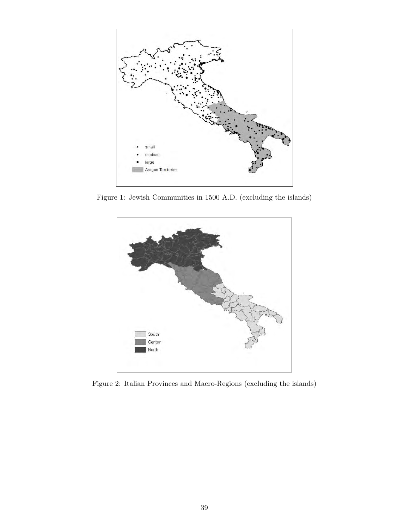

Figure 1: Jewish Communities in 1500 A.D. (excluding the islands)



Figure 2: Italian Provinces and Macro-Regions (excluding the islands)